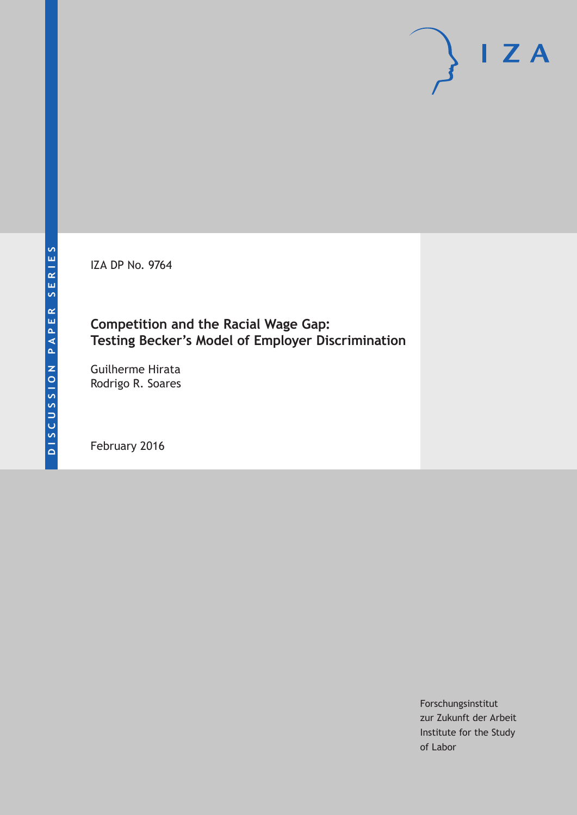IZA DP No. 9764

# **Competition and the Racial Wage Gap: Testing Becker's Model of Employer Discrimination**

Guilherme Hirata Rodrigo R. Soares

February 2016

Forschungsinstitut zur Zukunft der Arbeit Institute for the Study of Labor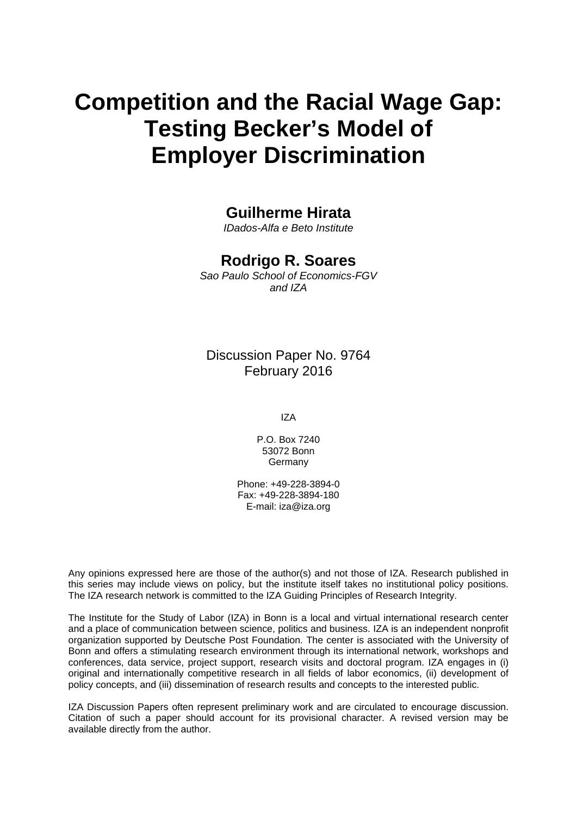# **Competition and the Racial Wage Gap: Testing Becker's Model of Employer Discrimination**

## **Guilherme Hirata**

*IDados-Alfa e Beto Institute* 

### **Rodrigo R. Soares**

*Sao Paulo School of Economics-FGV and IZA* 

### Discussion Paper No. 9764 February 2016

IZA

P.O. Box 7240 53072 Bonn **Germany** 

Phone: +49-228-3894-0 Fax: +49-228-3894-180 E-mail: iza@iza.org

Any opinions expressed here are those of the author(s) and not those of IZA. Research published in this series may include views on policy, but the institute itself takes no institutional policy positions. The IZA research network is committed to the IZA Guiding Principles of Research Integrity.

The Institute for the Study of Labor (IZA) in Bonn is a local and virtual international research center and a place of communication between science, politics and business. IZA is an independent nonprofit organization supported by Deutsche Post Foundation. The center is associated with the University of Bonn and offers a stimulating research environment through its international network, workshops and conferences, data service, project support, research visits and doctoral program. IZA engages in (i) original and internationally competitive research in all fields of labor economics, (ii) development of policy concepts, and (iii) dissemination of research results and concepts to the interested public.

IZA Discussion Papers often represent preliminary work and are circulated to encourage discussion. Citation of such a paper should account for its provisional character. A revised version may be available directly from the author.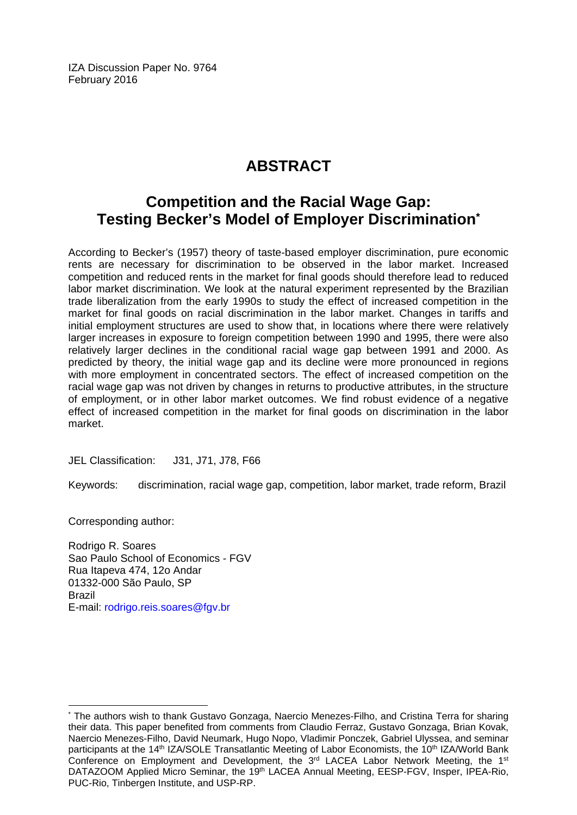IZA Discussion Paper No. 9764 February 2016

# **ABSTRACT**

# **Competition and the Racial Wage Gap: Testing Becker's Model of Employer Discrimination\***

According to Becker's (1957) theory of taste-based employer discrimination, pure economic rents are necessary for discrimination to be observed in the labor market. Increased competition and reduced rents in the market for final goods should therefore lead to reduced labor market discrimination. We look at the natural experiment represented by the Brazilian trade liberalization from the early 1990s to study the effect of increased competition in the market for final goods on racial discrimination in the labor market. Changes in tariffs and initial employment structures are used to show that, in locations where there were relatively larger increases in exposure to foreign competition between 1990 and 1995, there were also relatively larger declines in the conditional racial wage gap between 1991 and 2000. As predicted by theory, the initial wage gap and its decline were more pronounced in regions with more employment in concentrated sectors. The effect of increased competition on the racial wage gap was not driven by changes in returns to productive attributes, in the structure of employment, or in other labor market outcomes. We find robust evidence of a negative effect of increased competition in the market for final goods on discrimination in the labor market.

JEL Classification: J31, J71, J78, F66

Keywords: discrimination, racial wage gap, competition, labor market, trade reform, Brazil

Corresponding author:

 $\overline{a}$ 

Rodrigo R. Soares Sao Paulo School of Economics - FGV Rua Itapeva 474, 12o Andar 01332-000 São Paulo, SP Brazil E-mail: rodrigo.reis.soares@fgv.br

<sup>\*</sup> The authors wish to thank Gustavo Gonzaga, Naercio Menezes-Filho, and Cristina Terra for sharing their data. This paper benefited from comments from Claudio Ferraz, Gustavo Gonzaga, Brian Kovak, Naercio Menezes-Filho, David Neumark, Hugo Nopo, Vladimir Ponczek, Gabriel Ulyssea, and seminar participants at the 14<sup>th</sup> IZA/SOLE Transatlantic Meeting of Labor Economists, the 10<sup>th</sup> IZA/World Bank Conference on Employment and Development, the  $3^{rd}$  LACEA Labor Network Meeting, the  $1^{st}$ DATAZOOM Applied Micro Seminar, the 19<sup>th</sup> LACEA Annual Meeting, EESP-FGV, Insper, IPEA-Rio, PUC-Rio, Tinbergen Institute, and USP-RP.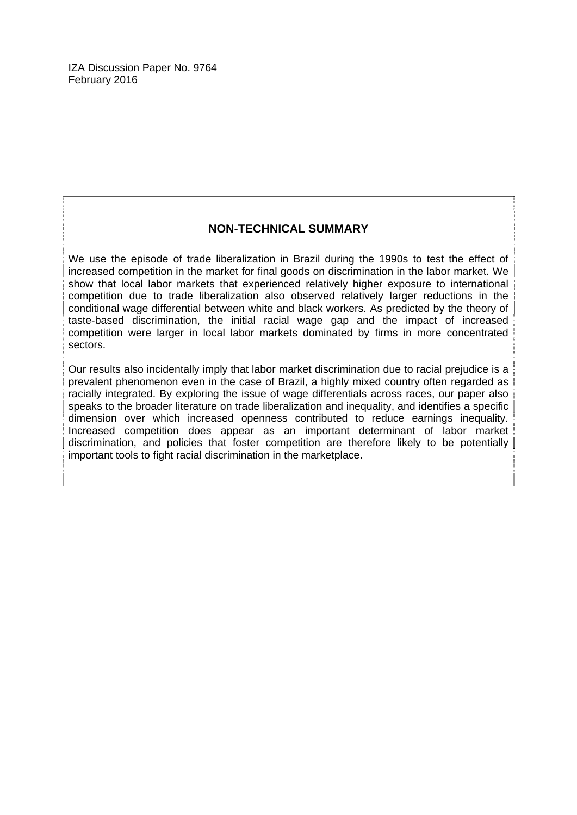#### **NON-TECHNICAL SUMMARY**

We use the episode of trade liberalization in Brazil during the 1990s to test the effect of increased competition in the market for final goods on discrimination in the labor market. We show that local labor markets that experienced relatively higher exposure to international competition due to trade liberalization also observed relatively larger reductions in the conditional wage differential between white and black workers. As predicted by the theory of taste-based discrimination, the initial racial wage gap and the impact of increased competition were larger in local labor markets dominated by firms in more concentrated sectors.

Our results also incidentally imply that labor market discrimination due to racial prejudice is a prevalent phenomenon even in the case of Brazil, a highly mixed country often regarded as racially integrated. By exploring the issue of wage differentials across races, our paper also speaks to the broader literature on trade liberalization and inequality, and identifies a specific dimension over which increased openness contributed to reduce earnings inequality. Increased competition does appear as an important determinant of labor market discrimination, and policies that foster competition are therefore likely to be potentially important tools to fight racial discrimination in the marketplace.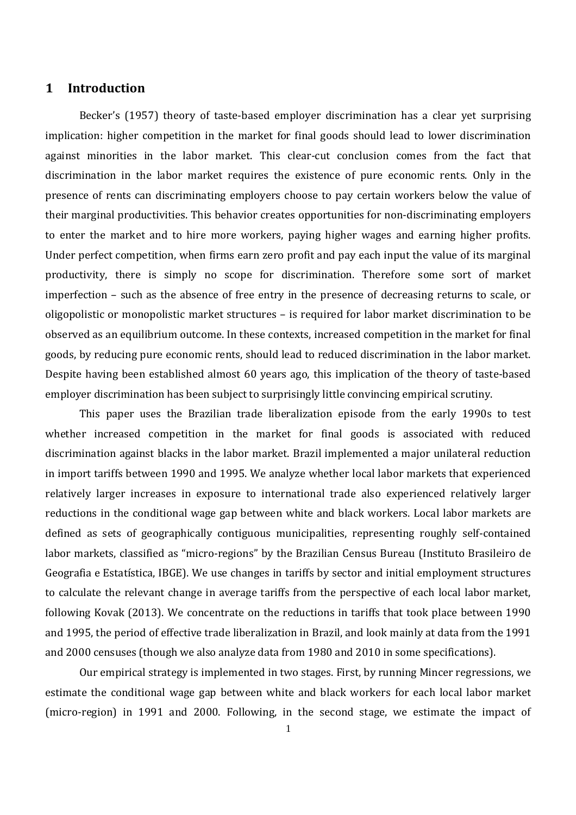#### **1 Introduction**

Becker's (1957) theory of taste-based employer discrimination has a clear yet surprising implication: higher competition in the market for final goods should lead to lower discrimination against minorities in the labor market. This clear-cut conclusion comes from the fact that discrimination in the labor market requires the existence of pure economic rents. Only in the presence of rents can discriminating employers choose to pay certain workers below the value of their marginal productivities. This behavior creates opportunities for non-discriminating employers to enter the market and to hire more workers, paying higher wages and earning higher profits. Under perfect competition, when firms earn zero profit and pay each input the value of its marginal productivity, there is simply no scope for discrimination. Therefore some sort of market imperfection – such as the absence of free entry in the presence of decreasing returns to scale, or oligopolistic or monopolistic market structures – is required for labor market discrimination to be observed as an equilibrium outcome. In these contexts, increased competition in the market for final goods, by reducing pure economic rents, should lead to reduced discrimination in the labor market. Despite having been established almost 60 years ago, this implication of the theory of taste-based employer discrimination has been subject to surprisingly little convincing empirical scrutiny.

This paper uses the Brazilian trade liberalization episode from the early 1990s to test whether increased competition in the market for final goods is associated with reduced discrimination against blacks in the labor market. Brazil implemented a major unilateral reduction in import tariffs between 1990 and 1995. We analyze whether local labor markets that experienced relatively larger increases in exposure to international trade also experienced relatively larger reductions in the conditional wage gap between white and black workers. Local labor markets are defined as sets of geographically contiguous municipalities, representing roughly self-contained labor markets, classified as "micro-regions" by the Brazilian Census Bureau (Instituto Brasileiro de Geografia e Estatística, IBGE). We use changes in tariffs by sector and initial employment structures to calculate the relevant change in average tariffs from the perspective of each local labor market, following Kovak (2013). We concentrate on the reductions in tariffs that took place between 1990 and 1995, the period of effective trade liberalization in Brazil, and look mainly at data from the 1991 and 2000 censuses (though we also analyze data from 1980 and 2010 in some specifications).

Our empirical strategy is implemented in two stages. First, by running Mincer regressions, we estimate the conditional wage gap between white and black workers for each local labor market (micro-region) in 1991 and 2000. Following, in the second stage, we estimate the impact of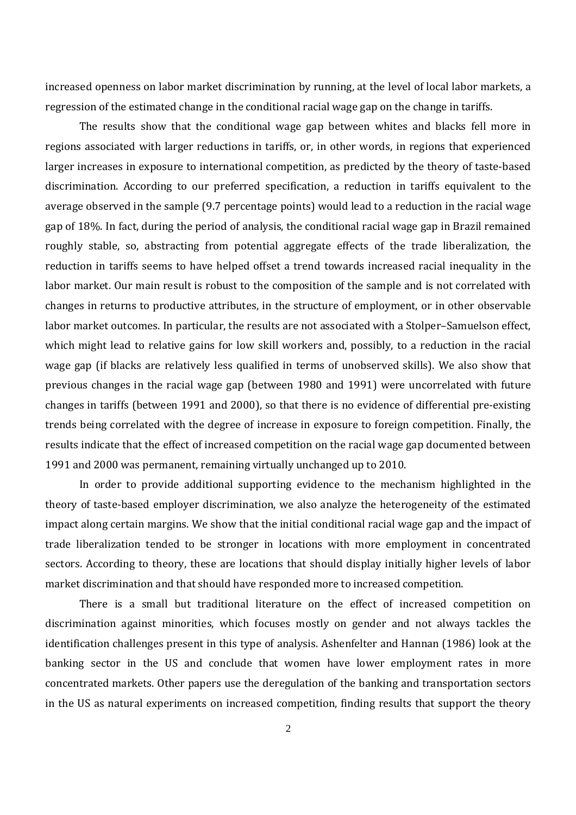increased openness on labor market discrimination by running, at the level of local labor markets, a regression of the estimated change in the conditional racial wage gap on the change in tariffs.

The results show that the conditional wage gap between whites and blacks fell more in regions associated with larger reductions in tariffs, or, in other words, in regions that experienced larger increases in exposure to international competition, as predicted by the theory of taste-based discrimination. According to our preferred specification, a reduction in tariffs equivalent to the average observed in the sample (9.7 percentage points) would lead to a reduction in the racial wage gap of 18%. In fact, during the period of analysis, the conditional racial wage gap in Brazil remained roughly stable, so, abstracting from potential aggregate effects of the trade liberalization, the reduction in tariffs seems to have helped offset a trend towards increased racial inequality in the labor market. Our main result is robust to the composition of the sample and is not correlated with changes in returns to productive attributes, in the structure of employment, or in other observable labor market outcomes. In particular, the results are not associated with a Stolper–Samuelson effect, which might lead to relative gains for low skill workers and, possibly, to a reduction in the racial wage gap (if blacks are relatively less qualified in terms of unobserved skills). We also show that previous changes in the racial wage gap (between 1980 and 1991) were uncorrelated with future changes in tariffs (between 1991 and 2000), so that there is no evidence of differential pre-existing trends being correlated with the degree of increase in exposure to foreign competition. Finally, the results indicate that the effect of increased competition on the racial wage gap documented between 1991 and 2000 was permanent, remaining virtually unchanged up to 2010.

In order to provide additional supporting evidence to the mechanism highlighted in the theory of taste-based employer discrimination, we also analyze the heterogeneity of the estimated impact along certain margins. We show that the initial conditional racial wage gap and the impact of trade liberalization tended to be stronger in locations with more employment in concentrated sectors. According to theory, these are locations that should display initially higher levels of labor market discrimination and that should have responded more to increased competition.

There is a small but traditional literature on the effect of increased competition on discrimination against minorities, which focuses mostly on gender and not always tackles the identification challenges present in this type of analysis. Ashenfelter and Hannan (1986) look at the banking sector in the US and conclude that women have lower employment rates in more concentrated markets. Other papers use the deregulation of the banking and transportation sectors in the US as natural experiments on increased competition, finding results that support the theory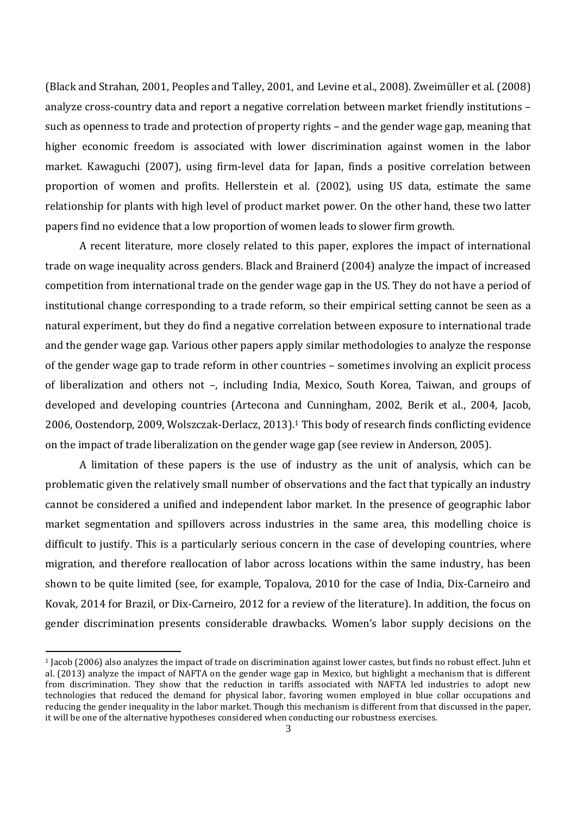(Black and Strahan, 2001, Peoples and Talley, 2001, and Levine et al., 2008). Zweimüller et al. (2008) analyze cross-country data and report a negative correlation between market friendly institutions – such as openness to trade and protection of property rights – and the gender wage gap, meaning that higher economic freedom is associated with lower discrimination against women in the labor market. Kawaguchi (2007), using firm-level data for Japan, finds a positive correlation between proportion of women and profits. Hellerstein et al. (2002), using US data, estimate the same relationship for plants with high level of product market power. On the other hand, these two latter papers find no evidence that a low proportion of women leads to slower firm growth.

A recent literature, more closely related to this paper, explores the impact of international trade on wage inequality across genders. Black and Brainerd (2004) analyze the impact of increased competition from international trade on the gender wage gap in the US. They do not have a period of institutional change corresponding to a trade reform, so their empirical setting cannot be seen as a natural experiment, but they do find a negative correlation between exposure to international trade and the gender wage gap. Various other papers apply similar methodologies to analyze the response of the gender wage gap to trade reform in other countries – sometimes involving an explicit process of liberalization and others not –, including India, Mexico, South Korea, Taiwan, and groups of developed and developing countries (Artecona and Cunningham, 2002, Berik et al., 2004, Jacob, 2006, Oostendorp, 2009, Wolszczak-Derlacz, 2013).<sup>1</sup> This body of research finds conflicting evidence on the impact of trade liberalization on the gender wage gap (see review in Anderson, 2005).

A limitation of these papers is the use of industry as the unit of analysis, which can be problematic given the relatively small number of observations and the fact that typically an industry cannot be considered a unified and independent labor market. In the presence of geographic labor market segmentation and spillovers across industries in the same area, this modelling choice is difficult to justify. This is a particularly serious concern in the case of developing countries, where migration, and therefore reallocation of labor across locations within the same industry, has been shown to be quite limited (see, for example, Topalova, 2010 for the case of India, Dix-Carneiro and Kovak, 2014 for Brazil, or Dix-Carneiro, 2012 for a review of the literature). In addition, the focus on gender discrimination presents considerable drawbacks. Women's labor supply decisions on the

<sup>1</sup> Jacob (2006) also analyzes the impact of trade on discrimination against lower castes, but finds no robust effect. Juhn et al. (2013) analyze the impact of NAFTA on the gender wage gap in Mexico, but highlight a mechanism that is different from discrimination. They show that the reduction in tariffs associated with NAFTA led industries to adopt new technologies that reduced the demand for physical labor, favoring women employed in blue collar occupations and reducing the gender inequality in the labor market. Though this mechanism is different from that discussed in the paper, it will be one of the alternative hypotheses considered when conducting our robustness exercises.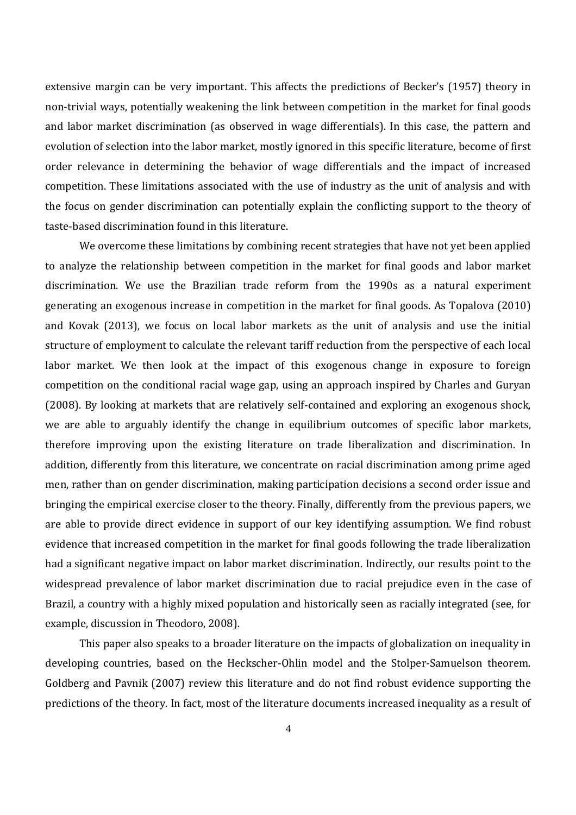extensive margin can be very important. This affects the predictions of Becker's (1957) theory in non-trivial ways, potentially weakening the link between competition in the market for final goods and labor market discrimination (as observed in wage differentials). In this case, the pattern and evolution of selection into the labor market, mostly ignored in this specific literature, become of first order relevance in determining the behavior of wage differentials and the impact of increased competition. These limitations associated with the use of industry as the unit of analysis and with the focus on gender discrimination can potentially explain the conflicting support to the theory of taste-based discrimination found in this literature.

We overcome these limitations by combining recent strategies that have not yet been applied to analyze the relationship between competition in the market for final goods and labor market discrimination. We use the Brazilian trade reform from the 1990s as a natural experiment generating an exogenous increase in competition in the market for final goods. As Topalova (2010) and Kovak (2013), we focus on local labor markets as the unit of analysis and use the initial structure of employment to calculate the relevant tariff reduction from the perspective of each local labor market. We then look at the impact of this exogenous change in exposure to foreign competition on the conditional racial wage gap, using an approach inspired by Charles and Guryan (2008). By looking at markets that are relatively self-contained and exploring an exogenous shock, we are able to arguably identify the change in equilibrium outcomes of specific labor markets, therefore improving upon the existing literature on trade liberalization and discrimination. In addition, differently from this literature, we concentrate on racial discrimination among prime aged men, rather than on gender discrimination, making participation decisions a second order issue and bringing the empirical exercise closer to the theory. Finally, differently from the previous papers, we are able to provide direct evidence in support of our key identifying assumption. We find robust evidence that increased competition in the market for final goods following the trade liberalization had a significant negative impact on labor market discrimination. Indirectly, our results point to the widespread prevalence of labor market discrimination due to racial prejudice even in the case of Brazil, a country with a highly mixed population and historically seen as racially integrated (see, for example, discussion in Theodoro, 2008).

This paper also speaks to a broader literature on the impacts of globalization on inequality in developing countries, based on the Heckscher-Ohlin model and the Stolper-Samuelson theorem. Goldberg and Pavnik (2007) review this literature and do not find robust evidence supporting the predictions of the theory. In fact, most of the literature documents increased inequality as a result of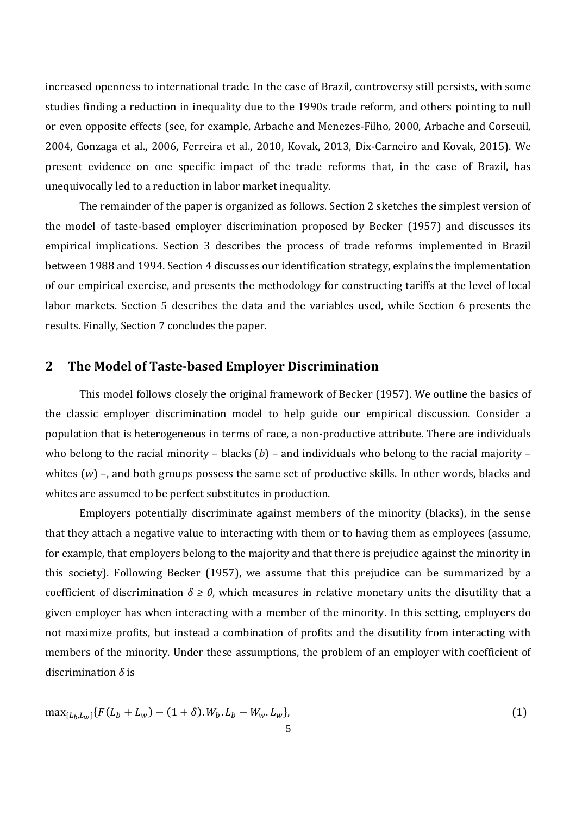increased openness to international trade. In the case of Brazil, controversy still persists, with some studies finding a reduction in inequality due to the 1990s trade reform, and others pointing to null or even opposite effects (see, for example, Arbache and Menezes-Filho, 2000, Arbache and Corseuil, 2004, Gonzaga et al., 2006, Ferreira et al., 2010, Kovak, 2013, Dix-Carneiro and Kovak, 2015). We present evidence on one specific impact of the trade reforms that, in the case of Brazil, has unequivocally led to a reduction in labor market inequality.

The remainder of the paper is organized as follows. Section 2 sketches the simplest version of the model of taste-based employer discrimination proposed by Becker (1957) and discusses its empirical implications. Section 3 describes the process of trade reforms implemented in Brazil between 1988 and 1994. Section 4 discusses our identification strategy, explains the implementation of our empirical exercise, and presents the methodology for constructing tariffs at the level of local labor markets. Section 5 describes the data and the variables used, while Section 6 presents the results. Finally, Section 7 concludes the paper.

#### **2 The Model of Taste-based Employer Discrimination**

This model follows closely the original framework of Becker (1957). We outline the basics of the classic employer discrimination model to help guide our empirical discussion. Consider a population that is heterogeneous in terms of race, a non-productive attribute. There are individuals who belong to the racial minority – blacks (*b*) – and individuals who belong to the racial majority – whites (*w*) –, and both groups possess the same set of productive skills. In other words, blacks and whites are assumed to be perfect substitutes in production.

Employers potentially discriminate against members of the minority (blacks), in the sense that they attach a negative value to interacting with them or to having them as employees (assume, for example, that employers belong to the majority and that there is prejudice against the minority in this society). Following Becker (1957), we assume that this prejudice can be summarized by a coefficient of discrimination  $\delta \ge 0$ , which measures in relative monetary units the disutility that a given employer has when interacting with a member of the minority. In this setting, employers do not maximize profits, but instead a combination of profits and the disutility from interacting with members of the minority. Under these assumptions, the problem of an employer with coefficient of discrimination *δ* is

$$
\max_{\{L_b, L_w\}} \{ F(L_b + L_w) - (1 + \delta) . W_b . L_b - W_w . L_w \},\tag{1}
$$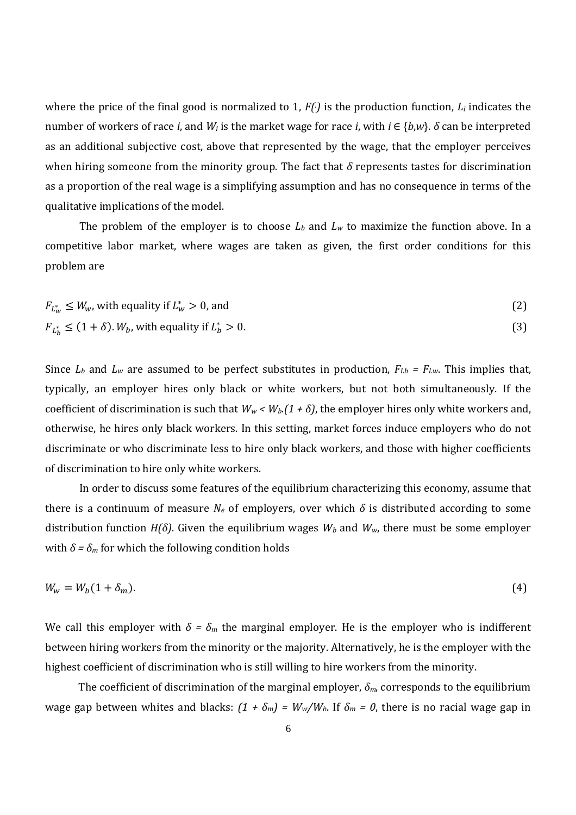where the price of the final good is normalized to 1, *F(.)* is the production function, *L<sup>i</sup>* indicates the number of workers of race *i*, and *W<sup>i</sup>* is the market wage for race *i*, with *i* ∈ {*b*,*w*}. *δ* can be interpreted as an additional subjective cost, above that represented by the wage, that the employer perceives when hiring someone from the minority group. The fact that *δ* represents tastes for discrimination as a proportion of the real wage is a simplifying assumption and has no consequence in terms of the qualitative implications of the model.

The problem of the employer is to choose  $L_b$  and  $L_w$  to maximize the function above. In a competitive labor market, where wages are taken as given, the first order conditions for this problem are

$$
F_{L_W^*} \le W_w, \text{ with equality if } L_W^* > 0, \text{ and} \tag{2}
$$

$$
F_{L_b^*} \le (1+\delta). W_b, \text{ with equality if } L_b^* > 0. \tag{3}
$$

Since  $L_b$  and  $L_w$  are assumed to be perfect substitutes in production,  $F_{Lb} = F_{Lw}$ . This implies that, typically, an employer hires only black or white workers, but not both simultaneously. If the coefficient of discrimination is such that  $W_w$  <  $W_b$ . (1 +  $\delta$ ), the employer hires only white workers and, otherwise, he hires only black workers. In this setting, market forces induce employers who do not discriminate or who discriminate less to hire only black workers, and those with higher coefficients of discrimination to hire only white workers.

In order to discuss some features of the equilibrium characterizing this economy, assume that there is a continuum of measure  $N_e$  of employers, over which  $\delta$  is distributed according to some distribution function *H(δ)*. Given the equilibrium wages *W<sup>b</sup>* and *Ww*, there must be some employer with  $\delta = \delta_m$  for which the following condition holds

$$
W_w = W_b(1 + \delta_m). \tag{4}
$$

We call this employer with  $\delta = \delta_m$  the marginal employer. He is the employer who is indifferent between hiring workers from the minority or the majority. Alternatively, he is the employer with the highest coefficient of discrimination who is still willing to hire workers from the minority.

The coefficient of discrimination of the marginal employer, *δm*, corresponds to the equilibrium wage gap between whites and blacks:  $(1 + \delta_m) = W_w/W_b$ . If  $\delta_m = 0$ , there is no racial wage gap in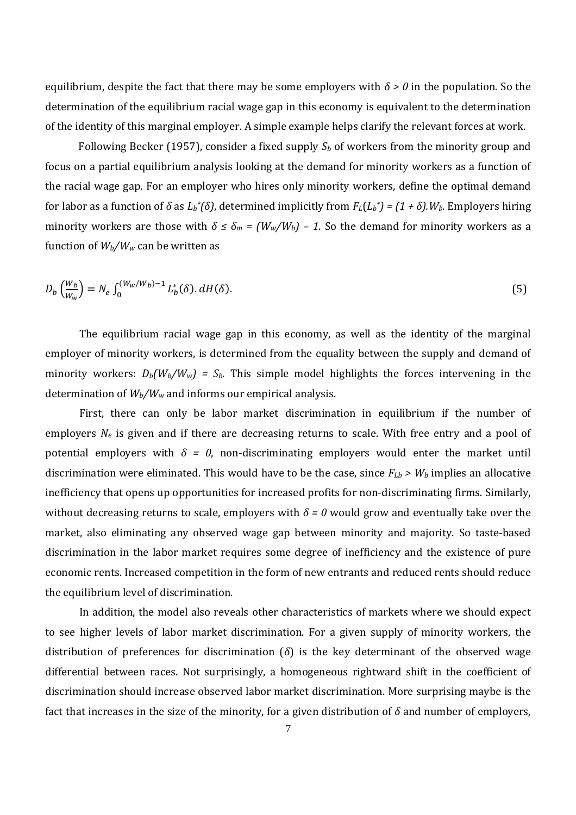equilibrium, despite the fact that there may be some employers with  $\delta > 0$  in the population. So the determination of the equilibrium racial wage gap in this economy is equivalent to the determination of the identity of this marginal employer. A simple example helps clarify the relevant forces at work.

Following Becker (1957), consider a fixed supply *S<sup>b</sup>* of workers from the minority group and focus on a partial equilibrium analysis looking at the demand for minority workers as a function of the racial wage gap. For an employer who hires only minority workers, define the optimal demand for labor as a function of *δ* as *L<sup>b</sup> \*(δ)*, determined implicitly from *FL*(*L<sup>b</sup> \*) = (1 + δ).Wb*. Employers hiring minority workers are those with  $\delta \leq \delta_m = (W_w/W_b) - 1$ . So the demand for minority workers as a function of  $W_b/W_w$  can be written as

$$
D_b \left( \frac{W_b}{W_w} \right) = N_e \int_0^{(W_w/W_b)-1} L_b^*(\delta) \, dH(\delta). \tag{5}
$$

The equilibrium racial wage gap in this economy, as well as the identity of the marginal employer of minority workers, is determined from the equality between the supply and demand of minority workers:  $D_b(W_b/W_w) = S_b$ . This simple model highlights the forces intervening in the determination of *Wb/W<sup>w</sup>* and informs our empirical analysis.

First, there can only be labor market discrimination in equilibrium if the number of employers  $N_e$  is given and if there are decreasing returns to scale. With free entry and a pool of potential employers with  $\delta = 0$ , non-discriminating employers would enter the market until discrimination were eliminated. This would have to be the case, since  $F_{Lb}$  >  $W_b$  implies an allocative inefficiency that opens up opportunities for increased profits for non-discriminating firms. Similarly, without decreasing returns to scale, employers with  $\delta$  = 0 would grow and eventually take over the market, also eliminating any observed wage gap between minority and majority. So taste-based discrimination in the labor market requires some degree of inefficiency and the existence of pure economic rents. Increased competition in the form of new entrants and reduced rents should reduce the equilibrium level of discrimination.

In addition, the model also reveals other characteristics of markets where we should expect to see higher levels of labor market discrimination. For a given supply of minority workers, the distribution of preferences for discrimination (*δ*) is the key determinant of the observed wage differential between races. Not surprisingly, a homogeneous rightward shift in the coefficient of discrimination should increase observed labor market discrimination. More surprising maybe is the fact that increases in the size of the minority, for a given distribution of *δ* and number of employers,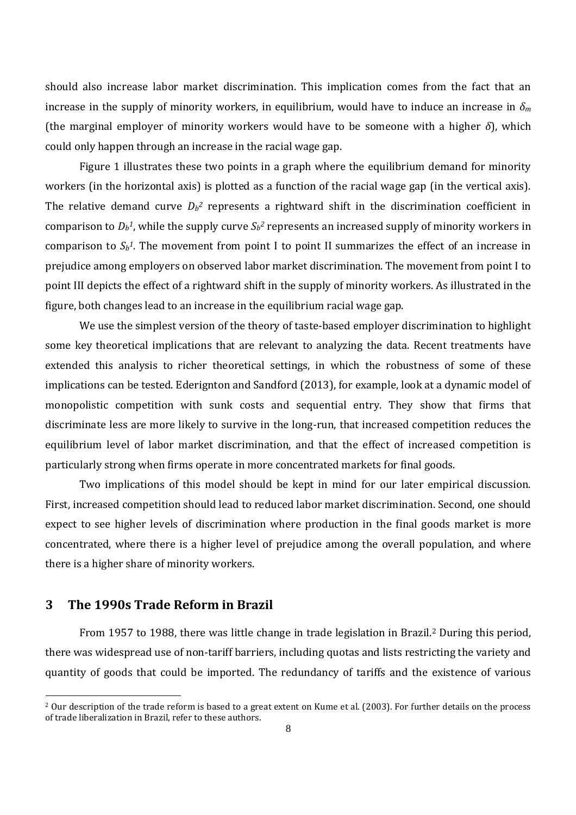should also increase labor market discrimination. This implication comes from the fact that an increase in the supply of minority workers, in equilibrium, would have to induce an increase in  $\delta_m$ (the marginal employer of minority workers would have to be someone with a higher *δ*), which could only happen through an increase in the racial wage gap.

Figure 1 illustrates these two points in a graph where the equilibrium demand for minority workers (in the horizontal axis) is plotted as a function of the racial wage gap (in the vertical axis). The relative demand curve  $D_b^2$  represents a rightward shift in the discrimination coefficient in comparison to  $D_b$ <sup>1</sup>, while the supply curve  $S_b$ <sup>2</sup> represents an increased supply of minority workers in comparison to  $S_b$ <sup>1</sup>. The movement from point I to point II summarizes the effect of an increase in prejudice among employers on observed labor market discrimination. The movement from point I to point III depicts the effect of a rightward shift in the supply of minority workers. As illustrated in the figure, both changes lead to an increase in the equilibrium racial wage gap.

We use the simplest version of the theory of taste-based employer discrimination to highlight some key theoretical implications that are relevant to analyzing the data. Recent treatments have extended this analysis to richer theoretical settings, in which the robustness of some of these implications can be tested. Ederignton and Sandford (2013), for example, look at a dynamic model of monopolistic competition with sunk costs and sequential entry. They show that firms that discriminate less are more likely to survive in the long-run, that increased competition reduces the equilibrium level of labor market discrimination, and that the effect of increased competition is particularly strong when firms operate in more concentrated markets for final goods.

Two implications of this model should be kept in mind for our later empirical discussion. First, increased competition should lead to reduced labor market discrimination. Second, one should expect to see higher levels of discrimination where production in the final goods market is more concentrated, where there is a higher level of prejudice among the overall population, and where there is a higher share of minority workers.

#### **3 The 1990s Trade Reform in Brazil**

From 1957 to 1988, there was little change in trade legislation in Brazil.<sup>2</sup> During this period, there was widespread use of non-tariff barriers, including quotas and lists restricting the variety and quantity of goods that could be imported. The redundancy of tariffs and the existence of various

<sup>&</sup>lt;sup>2</sup> Our description of the trade reform is based to a great extent on Kume et al. (2003). For further details on the process of trade liberalization in Brazil, refer to these authors.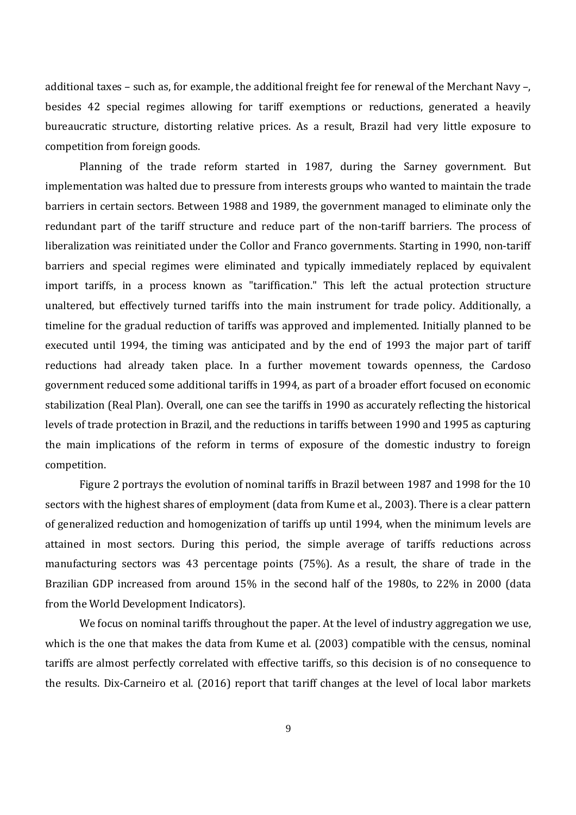additional taxes – such as, for example, the additional freight fee for renewal of the Merchant Navy –, besides 42 special regimes allowing for tariff exemptions or reductions, generated a heavily bureaucratic structure, distorting relative prices. As a result, Brazil had very little exposure to competition from foreign goods.

Planning of the trade reform started in 1987, during the Sarney government. But implementation was halted due to pressure from interests groups who wanted to maintain the trade barriers in certain sectors. Between 1988 and 1989, the government managed to eliminate only the redundant part of the tariff structure and reduce part of the non-tariff barriers. The process of liberalization was reinitiated under the Collor and Franco governments. Starting in 1990, non-tariff barriers and special regimes were eliminated and typically immediately replaced by equivalent import tariffs, in a process known as "tariffication." This left the actual protection structure unaltered, but effectively turned tariffs into the main instrument for trade policy. Additionally, a timeline for the gradual reduction of tariffs was approved and implemented. Initially planned to be executed until 1994, the timing was anticipated and by the end of 1993 the major part of tariff reductions had already taken place. In a further movement towards openness, the Cardoso government reduced some additional tariffs in 1994, as part of a broader effort focused on economic stabilization (Real Plan). Overall, one can see the tariffs in 1990 as accurately reflecting the historical levels of trade protection in Brazil, and the reductions in tariffs between 1990 and 1995 as capturing the main implications of the reform in terms of exposure of the domestic industry to foreign competition.

Figure 2 portrays the evolution of nominal tariffs in Brazil between 1987 and 1998 for the 10 sectors with the highest shares of employment (data from Kume et al., 2003). There is a clear pattern of generalized reduction and homogenization of tariffs up until 1994, when the minimum levels are attained in most sectors. During this period, the simple average of tariffs reductions across manufacturing sectors was 43 percentage points (75%). As a result, the share of trade in the Brazilian GDP increased from around 15% in the second half of the 1980s, to 22% in 2000 (data from the World Development Indicators).

We focus on nominal tariffs throughout the paper. At the level of industry aggregation we use, which is the one that makes the data from Kume et al. (2003) compatible with the census, nominal tariffs are almost perfectly correlated with effective tariffs, so this decision is of no consequence to the results. Dix-Carneiro et al. (2016) report that tariff changes at the level of local labor markets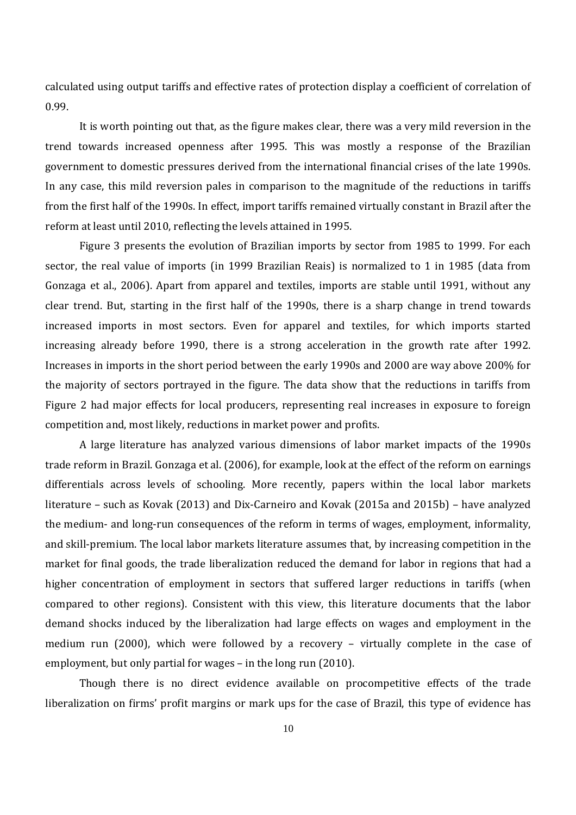calculated using output tariffs and effective rates of protection display a coefficient of correlation of 0.99.

It is worth pointing out that, as the figure makes clear, there was a very mild reversion in the trend towards increased openness after 1995. This was mostly a response of the Brazilian government to domestic pressures derived from the international financial crises of the late 1990s. In any case, this mild reversion pales in comparison to the magnitude of the reductions in tariffs from the first half of the 1990s. In effect, import tariffs remained virtually constant in Brazil after the reform at least until 2010, reflecting the levels attained in 1995.

Figure 3 presents the evolution of Brazilian imports by sector from 1985 to 1999. For each sector, the real value of imports (in 1999 Brazilian Reais) is normalized to 1 in 1985 (data from Gonzaga et al., 2006). Apart from apparel and textiles, imports are stable until 1991, without any clear trend. But, starting in the first half of the 1990s, there is a sharp change in trend towards increased imports in most sectors. Even for apparel and textiles, for which imports started increasing already before 1990, there is a strong acceleration in the growth rate after 1992. Increases in imports in the short period between the early 1990s and 2000 are way above 200% for the majority of sectors portrayed in the figure. The data show that the reductions in tariffs from Figure 2 had major effects for local producers, representing real increases in exposure to foreign competition and, most likely, reductions in market power and profits.

A large literature has analyzed various dimensions of labor market impacts of the 1990s trade reform in Brazil. Gonzaga et al. (2006), for example, look at the effect of the reform on earnings differentials across levels of schooling. More recently, papers within the local labor markets literature – such as Kovak (2013) and Dix-Carneiro and Kovak (2015a and 2015b) – have analyzed the medium- and long-run consequences of the reform in terms of wages, employment, informality, and skill-premium. The local labor markets literature assumes that, by increasing competition in the market for final goods, the trade liberalization reduced the demand for labor in regions that had a higher concentration of employment in sectors that suffered larger reductions in tariffs (when compared to other regions). Consistent with this view, this literature documents that the labor demand shocks induced by the liberalization had large effects on wages and employment in the medium run (2000), which were followed by a recovery – virtually complete in the case of employment, but only partial for wages – in the long run (2010).

Though there is no direct evidence available on procompetitive effects of the trade liberalization on firms' profit margins or mark ups for the case of Brazil, this type of evidence has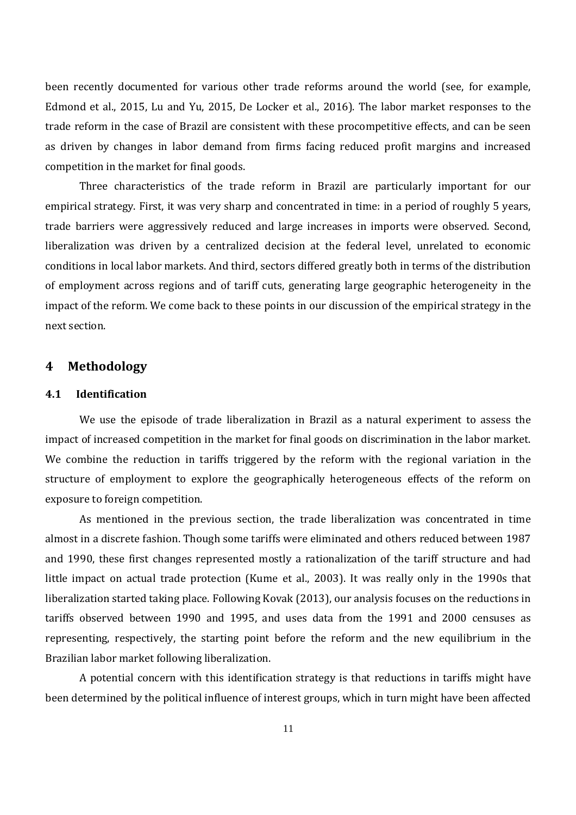been recently documented for various other trade reforms around the world (see, for example, Edmond et al., 2015, Lu and Yu, 2015, De Locker et al., 2016). The labor market responses to the trade reform in the case of Brazil are consistent with these procompetitive effects, and can be seen as driven by changes in labor demand from firms facing reduced profit margins and increased competition in the market for final goods.

Three characteristics of the trade reform in Brazil are particularly important for our empirical strategy. First, it was very sharp and concentrated in time: in a period of roughly 5 years, trade barriers were aggressively reduced and large increases in imports were observed. Second, liberalization was driven by a centralized decision at the federal level, unrelated to economic conditions in local labor markets. And third, sectors differed greatly both in terms of the distribution of employment across regions and of tariff cuts, generating large geographic heterogeneity in the impact of the reform. We come back to these points in our discussion of the empirical strategy in the next section.

#### **4 Methodology**

#### **4.1 Identification**

We use the episode of trade liberalization in Brazil as a natural experiment to assess the impact of increased competition in the market for final goods on discrimination in the labor market. We combine the reduction in tariffs triggered by the reform with the regional variation in the structure of employment to explore the geographically heterogeneous effects of the reform on exposure to foreign competition.

As mentioned in the previous section, the trade liberalization was concentrated in time almost in a discrete fashion. Though some tariffs were eliminated and others reduced between 1987 and 1990, these first changes represented mostly a rationalization of the tariff structure and had little impact on actual trade protection (Kume et al., 2003). It was really only in the 1990s that liberalization started taking place. Following Kovak (2013), our analysis focuses on the reductions in tariffs observed between 1990 and 1995, and uses data from the 1991 and 2000 censuses as representing, respectively, the starting point before the reform and the new equilibrium in the Brazilian labor market following liberalization.

A potential concern with this identification strategy is that reductions in tariffs might have been determined by the political influence of interest groups, which in turn might have been affected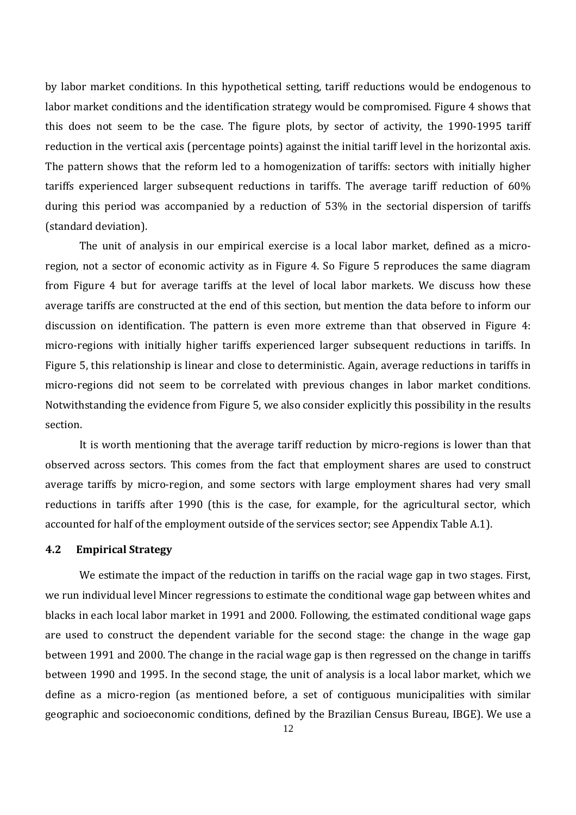by labor market conditions. In this hypothetical setting, tariff reductions would be endogenous to labor market conditions and the identification strategy would be compromised. Figure 4 shows that this does not seem to be the case. The figure plots, by sector of activity, the 1990-1995 tariff reduction in the vertical axis (percentage points) against the initial tariff level in the horizontal axis. The pattern shows that the reform led to a homogenization of tariffs: sectors with initially higher tariffs experienced larger subsequent reductions in tariffs. The average tariff reduction of 60% during this period was accompanied by a reduction of 53% in the sectorial dispersion of tariffs (standard deviation).

The unit of analysis in our empirical exercise is a local labor market, defined as a microregion, not a sector of economic activity as in Figure 4. So Figure 5 reproduces the same diagram from Figure 4 but for average tariffs at the level of local labor markets. We discuss how these average tariffs are constructed at the end of this section, but mention the data before to inform our discussion on identification. The pattern is even more extreme than that observed in Figure 4: micro-regions with initially higher tariffs experienced larger subsequent reductions in tariffs. In Figure 5, this relationship is linear and close to deterministic. Again, average reductions in tariffs in micro-regions did not seem to be correlated with previous changes in labor market conditions. Notwithstanding the evidence from Figure 5, we also consider explicitly this possibility in the results section.

It is worth mentioning that the average tariff reduction by micro-regions is lower than that observed across sectors. This comes from the fact that employment shares are used to construct average tariffs by micro-region, and some sectors with large employment shares had very small reductions in tariffs after 1990 (this is the case, for example, for the agricultural sector, which accounted for half of the employment outside of the services sector; see Appendix Table A.1).

#### **4.2 Empirical Strategy**

We estimate the impact of the reduction in tariffs on the racial wage gap in two stages. First, we run individual level Mincer regressions to estimate the conditional wage gap between whites and blacks in each local labor market in 1991 and 2000. Following, the estimated conditional wage gaps are used to construct the dependent variable for the second stage: the change in the wage gap between 1991 and 2000. The change in the racial wage gap is then regressed on the change in tariffs between 1990 and 1995. In the second stage, the unit of analysis is a local labor market, which we define as a micro-region (as mentioned before, a set of contiguous municipalities with similar geographic and socioeconomic conditions, defined by the Brazilian Census Bureau, IBGE). We use a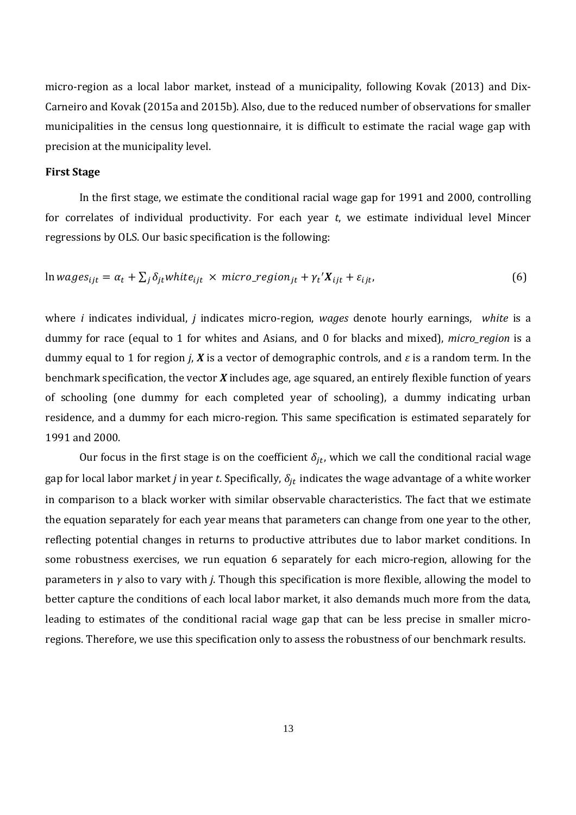micro-region as a local labor market, instead of a municipality, following Kovak (2013) and Dix-Carneiro and Kovak (2015a and 2015b). Also, due to the reduced number of observations for smaller municipalities in the census long questionnaire, it is difficult to estimate the racial wage gap with precision at the municipality level.

#### **First Stage**

In the first stage, we estimate the conditional racial wage gap for 1991 and 2000, controlling for correlates of individual productivity. For each year *t*, we estimate individual level Mincer regressions by OLS. Our basic specification is the following:

$$
\ln wages_{ijt} = \alpha_t + \sum_j \delta_{jt} white_{ijt} \times micro\_region_{jt} + \gamma_t' X_{ijt} + \varepsilon_{ijt},
$$
\n(6)

where *i* indicates individual, *j* indicates micro-region, *wages* denote hourly earnings, *white* is a dummy for race (equal to 1 for whites and Asians, and 0 for blacks and mixed), *micro\_region* is a dummy equal to 1 for region *j*, *X* is a vector of demographic controls, and  $\varepsilon$  is a random term. In the benchmark specification, the vector *X* includes age, age squared, an entirely flexible function of years of schooling (one dummy for each completed year of schooling), a dummy indicating urban residence, and a dummy for each micro-region. This same specification is estimated separately for 1991 and 2000.

Our focus in the first stage is on the coefficient  $\delta_{it}$ , which we call the conditional racial wage gap for local labor market *j* in year *t*. Specifically,  $\delta_{it}$  indicates the wage advantage of a white worker in comparison to a black worker with similar observable characteristics. The fact that we estimate the equation separately for each year means that parameters can change from one year to the other, reflecting potential changes in returns to productive attributes due to labor market conditions. In some robustness exercises, we run equation 6 separately for each micro-region, allowing for the parameters in *γ* also to vary with *j*. Though this specification is more flexible, allowing the model to better capture the conditions of each local labor market, it also demands much more from the data, leading to estimates of the conditional racial wage gap that can be less precise in smaller microregions. Therefore, we use this specification only to assess the robustness of our benchmark results.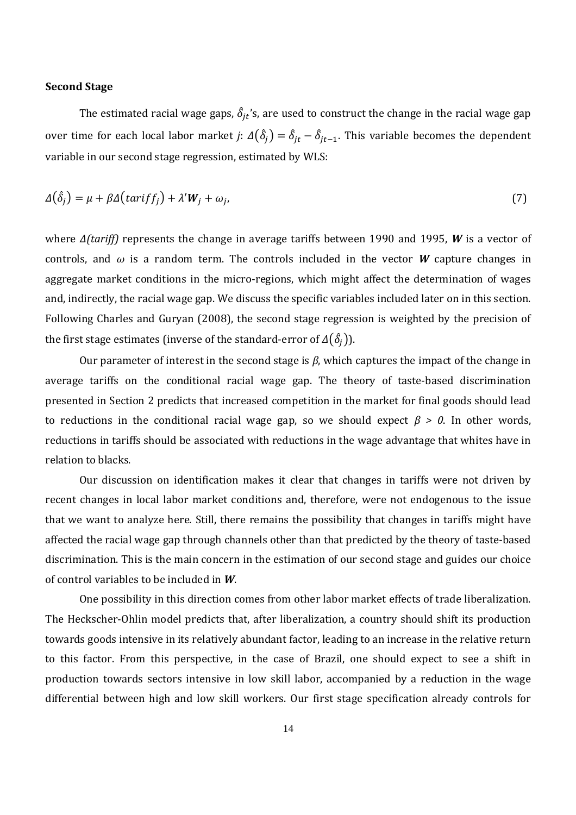#### **Second Stage**

The estimated racial wage gaps,  $\hat{\delta}_{it}$ 's, are used to construct the change in the racial wage gap over time for each local labor market *j*:  $\Delta(\hat{\delta}_j) = \hat{\delta}_{jt} - \hat{\delta}_{jt-1}$ . This variable becomes the dependent variable in our second stage regression, estimated by WLS:

$$
\Delta(\hat{\delta}_j) = \mu + \beta \Delta \left( \text{tar} \, \text{if} \, f_j \right) + \lambda' \, \text{W}_j + \omega_j,\tag{7}
$$

where *Δ(tariff)* represents the change in average tariffs between 1990 and 1995, *W* is a vector of controls, and  $\omega$  is a random term. The controls included in the vector W capture changes in aggregate market conditions in the micro-regions, which might affect the determination of wages and, indirectly, the racial wage gap. We discuss the specific variables included later on in this section. Following Charles and Guryan (2008), the second stage regression is weighted by the precision of the first stage estimates (inverse of the standard-error of  $\Delta(\hat{\delta}_i)$ ).

Our parameter of interest in the second stage is *β*, which captures the impact of the change in average tariffs on the conditional racial wage gap. The theory of taste-based discrimination presented in Section 2 predicts that increased competition in the market for final goods should lead to reductions in the conditional racial wage gap, so we should expect  $\beta > 0$ . In other words, reductions in tariffs should be associated with reductions in the wage advantage that whites have in relation to blacks.

Our discussion on identification makes it clear that changes in tariffs were not driven by recent changes in local labor market conditions and, therefore, were not endogenous to the issue that we want to analyze here. Still, there remains the possibility that changes in tariffs might have affected the racial wage gap through channels other than that predicted by the theory of taste-based discrimination. This is the main concern in the estimation of our second stage and guides our choice of control variables to be included in *W*.

One possibility in this direction comes from other labor market effects of trade liberalization. The Heckscher-Ohlin model predicts that, after liberalization, a country should shift its production towards goods intensive in its relatively abundant factor, leading to an increase in the relative return to this factor. From this perspective, in the case of Brazil, one should expect to see a shift in production towards sectors intensive in low skill labor, accompanied by a reduction in the wage differential between high and low skill workers. Our first stage specification already controls for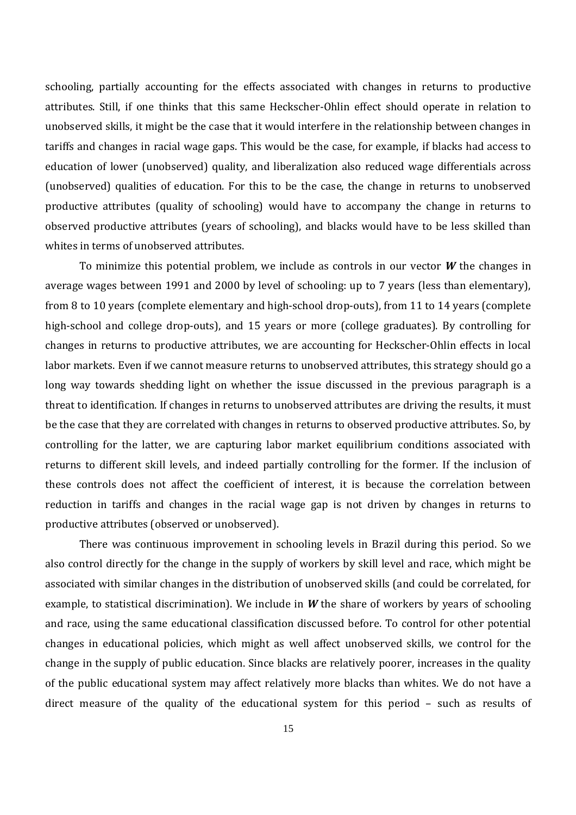schooling, partially accounting for the effects associated with changes in returns to productive attributes. Still, if one thinks that this same Heckscher-Ohlin effect should operate in relation to unobserved skills, it might be the case that it would interfere in the relationship between changes in tariffs and changes in racial wage gaps. This would be the case, for example, if blacks had access to education of lower (unobserved) quality, and liberalization also reduced wage differentials across (unobserved) qualities of education. For this to be the case, the change in returns to unobserved productive attributes (quality of schooling) would have to accompany the change in returns to observed productive attributes (years of schooling), and blacks would have to be less skilled than whites in terms of unobserved attributes.

To minimize this potential problem, we include as controls in our vector *W* the changes in average wages between 1991 and 2000 by level of schooling: up to 7 years (less than elementary), from 8 to 10 years (complete elementary and high-school drop-outs), from 11 to 14 years (complete high-school and college drop-outs), and 15 years or more (college graduates). By controlling for changes in returns to productive attributes, we are accounting for Heckscher-Ohlin effects in local labor markets. Even if we cannot measure returns to unobserved attributes, this strategy should go a long way towards shedding light on whether the issue discussed in the previous paragraph is a threat to identification. If changes in returns to unobserved attributes are driving the results, it must be the case that they are correlated with changes in returns to observed productive attributes. So, by controlling for the latter, we are capturing labor market equilibrium conditions associated with returns to different skill levels, and indeed partially controlling for the former. If the inclusion of these controls does not affect the coefficient of interest, it is because the correlation between reduction in tariffs and changes in the racial wage gap is not driven by changes in returns to productive attributes (observed or unobserved).

There was continuous improvement in schooling levels in Brazil during this period. So we also control directly for the change in the supply of workers by skill level and race, which might be associated with similar changes in the distribution of unobserved skills (and could be correlated, for example, to statistical discrimination). We include in *W* the share of workers by years of schooling and race, using the same educational classification discussed before. To control for other potential changes in educational policies, which might as well affect unobserved skills, we control for the change in the supply of public education. Since blacks are relatively poorer, increases in the quality of the public educational system may affect relatively more blacks than whites. We do not have a direct measure of the quality of the educational system for this period – such as results of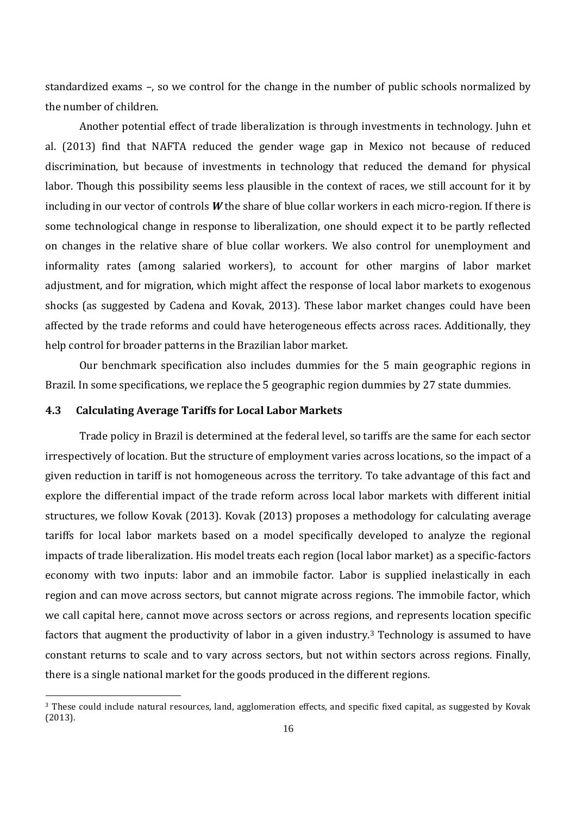standardized exams –, so we control for the change in the number of public schools normalized by the number of children.

Another potential effect of trade liberalization is through investments in technology. Juhn et al. (2013) find that NAFTA reduced the gender wage gap in Mexico not because of reduced discrimination, but because of investments in technology that reduced the demand for physical labor. Though this possibility seems less plausible in the context of races, we still account for it by including in our vector of controls *W* the share of blue collar workers in each micro-region. If there is some technological change in response to liberalization, one should expect it to be partly reflected on changes in the relative share of blue collar workers. We also control for unemployment and informality rates (among salaried workers), to account for other margins of labor market adjustment, and for migration, which might affect the response of local labor markets to exogenous shocks (as suggested by Cadena and Kovak, 2013). These labor market changes could have been affected by the trade reforms and could have heterogeneous effects across races. Additionally, they help control for broader patterns in the Brazilian labor market.

Our benchmark specification also includes dummies for the 5 main geographic regions in Brazil. In some specifications, we replace the 5 geographic region dummies by 27 state dummies.

#### **4.3 Calculating Average Tariffs for Local Labor Markets**

Trade policy in Brazil is determined at the federal level, so tariffs are the same for each sector irrespectively of location. But the structure of employment varies across locations, so the impact of a given reduction in tariff is not homogeneous across the territory. To take advantage of this fact and explore the differential impact of the trade reform across local labor markets with different initial structures, we follow Kovak (2013). Kovak (2013) proposes a methodology for calculating average tariffs for local labor markets based on a model specifically developed to analyze the regional impacts of trade liberalization. His model treats each region (local labor market) as a specific-factors economy with two inputs: labor and an immobile factor. Labor is supplied inelastically in each region and can move across sectors, but cannot migrate across regions. The immobile factor, which we call capital here, cannot move across sectors or across regions, and represents location specific factors that augment the productivity of labor in a given industry.<sup>3</sup> Technology is assumed to have constant returns to scale and to vary across sectors, but not within sectors across regions. Finally, there is a single national market for the goods produced in the different regions.

<sup>3</sup> These could include natural resources, land, agglomeration effects, and specific fixed capital, as suggested by Kovak (2013).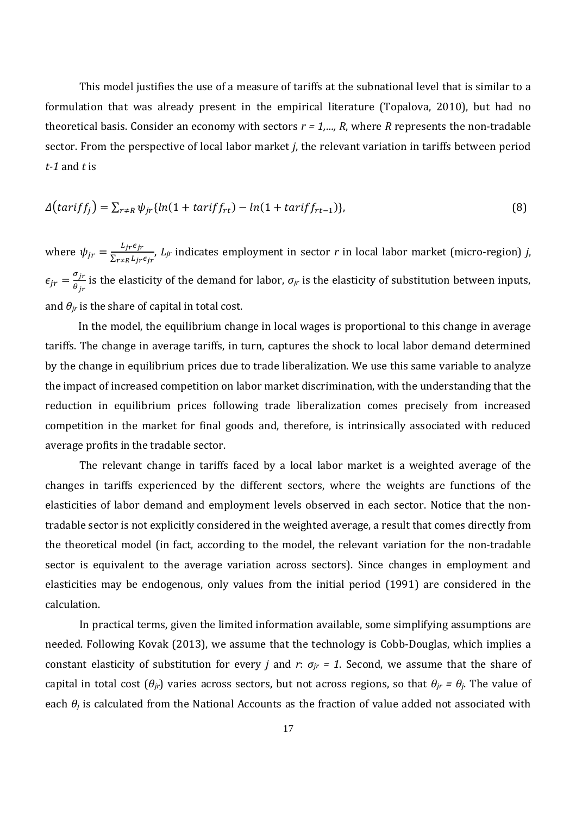This model justifies the use of a measure of tariffs at the subnational level that is similar to a formulation that was already present in the empirical literature (Topalova, 2010), but had no theoretical basis. Consider an economy with sectors *r = 1,…, R*, where *R* represents the non-tradable sector. From the perspective of local labor market *j*, the relevant variation in tariffs between period *t-1* and *t* is

$$
\Delta\big(tariff_j\big) = \sum_{r \neq R} \psi_{jr} \{ ln(1 + tariff_{rt}) - ln(1 + tariff_{rt-1}) \},\tag{8}
$$

where  $\psi_{jr} = \frac{L_{jr} \epsilon_{jr}}{\sum_{r \neq p} L_{irr}}$  $\Sigma$ r≠R  $L$ jr $\epsilon$  jr , *Ljr* indicates employment in sector *r* in local labor market (micro-region) *j*,  $\epsilon_{jr} = \frac{\sigma_{jr}}{\theta_{jr}}$  $\theta_{jr}$ is the elasticity of the demand for labor, *σjr* is the elasticity of substitution between inputs, and  $\theta$ *<sub>jr</sub>* is the share of capital in total cost.

In the model, the equilibrium change in local wages is proportional to this change in average tariffs. The change in average tariffs, in turn, captures the shock to local labor demand determined by the change in equilibrium prices due to trade liberalization. We use this same variable to analyze the impact of increased competition on labor market discrimination, with the understanding that the reduction in equilibrium prices following trade liberalization comes precisely from increased competition in the market for final goods and, therefore, is intrinsically associated with reduced average profits in the tradable sector.

The relevant change in tariffs faced by a local labor market is a weighted average of the changes in tariffs experienced by the different sectors, where the weights are functions of the elasticities of labor demand and employment levels observed in each sector. Notice that the nontradable sector is not explicitly considered in the weighted average, a result that comes directly from the theoretical model (in fact, according to the model, the relevant variation for the non-tradable sector is equivalent to the average variation across sectors). Since changes in employment and elasticities may be endogenous, only values from the initial period (1991) are considered in the calculation.

In practical terms, given the limited information available, some simplifying assumptions are needed. Following Kovak (2013), we assume that the technology is Cobb-Douglas, which implies a constant elasticity of substitution for every *j* and *r*:  $\sigma_{ir}$  = 1. Second, we assume that the share of capital in total cost  $(\theta_{jr})$  varies across sectors, but not across regions, so that  $\theta_{jr} = \theta_j$ . The value of each  $\theta_i$  is calculated from the National Accounts as the fraction of value added not associated with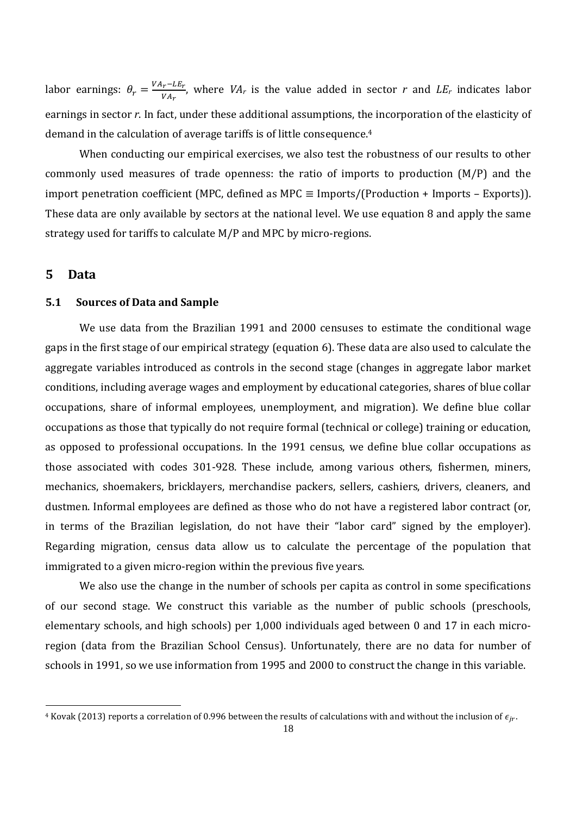labor earnings:  $\theta_r = \frac{VA_r - L E_r}{VA_r}$  $V_{VA_T}^{r-LLr}$ , where *VA<sub>r</sub>* is the value added in sector *r* and *LE<sub>r</sub>* indicates labor earnings in sector *r*. In fact, under these additional assumptions, the incorporation of the elasticity of demand in the calculation of average tariffs is of little consequence.<sup>4</sup>

When conducting our empirical exercises, we also test the robustness of our results to other commonly used measures of trade openness: the ratio of imports to production (M/P) and the import penetration coefficient (MPC, defined as MPC  $\equiv$  Imports/(Production + Imports – Exports)). These data are only available by sectors at the national level. We use equation 8 and apply the same strategy used for tariffs to calculate M/P and MPC by micro-regions.

#### **5 Data**

#### **5.1 Sources of Data and Sample**

We use data from the Brazilian 1991 and 2000 censuses to estimate the conditional wage gaps in the first stage of our empirical strategy (equation 6). These data are also used to calculate the aggregate variables introduced as controls in the second stage (changes in aggregate labor market conditions, including average wages and employment by educational categories, shares of blue collar occupations, share of informal employees, unemployment, and migration). We define blue collar occupations as those that typically do not require formal (technical or college) training or education, as opposed to professional occupations. In the 1991 census, we define blue collar occupations as those associated with codes 301-928. These include, among various others, fishermen, miners, mechanics, shoemakers, bricklayers, merchandise packers, sellers, cashiers, drivers, cleaners, and dustmen. Informal employees are defined as those who do not have a registered labor contract (or, in terms of the Brazilian legislation, do not have their "labor card" signed by the employer). Regarding migration, census data allow us to calculate the percentage of the population that immigrated to a given micro-region within the previous five years.

We also use the change in the number of schools per capita as control in some specifications of our second stage. We construct this variable as the number of public schools (preschools, elementary schools, and high schools) per 1,000 individuals aged between 0 and 17 in each microregion (data from the Brazilian School Census). Unfortunately, there are no data for number of schools in 1991, so we use information from 1995 and 2000 to construct the change in this variable.

<sup>&</sup>lt;sup>4</sup> Kovak (2013) reports a correlation of 0.996 between the results of calculations with and without the inclusion of  $\epsilon_{ir}$ .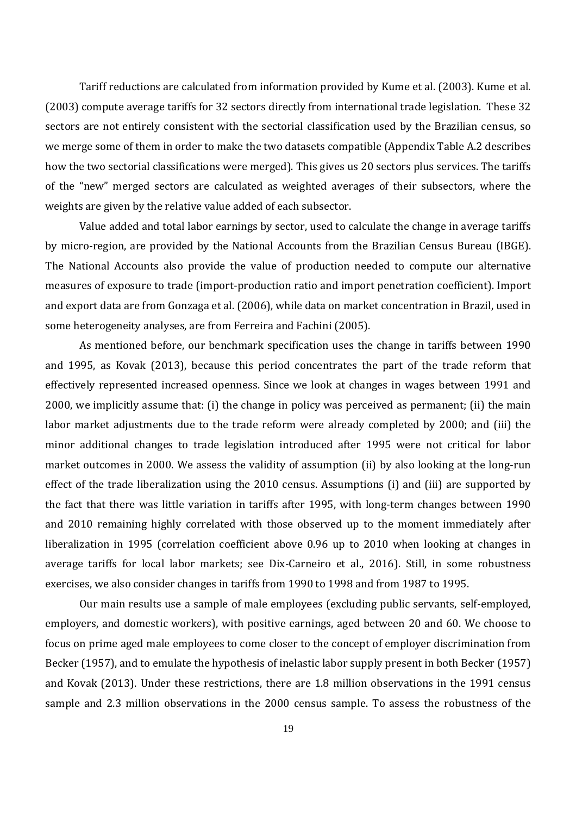Tariff reductions are calculated from information provided by Kume et al. (2003). Kume et al. (2003) compute average tariffs for 32 sectors directly from international trade legislation. These 32 sectors are not entirely consistent with the sectorial classification used by the Brazilian census, so we merge some of them in order to make the two datasets compatible (Appendix Table A.2 describes how the two sectorial classifications were merged). This gives us 20 sectors plus services. The tariffs of the "new" merged sectors are calculated as weighted averages of their subsectors, where the weights are given by the relative value added of each subsector.

Value added and total labor earnings by sector, used to calculate the change in average tariffs by micro-region, are provided by the National Accounts from the Brazilian Census Bureau (IBGE). The National Accounts also provide the value of production needed to compute our alternative measures of exposure to trade (import-production ratio and import penetration coefficient). Import and export data are from Gonzaga et al. (2006), while data on market concentration in Brazil, used in some heterogeneity analyses, are from Ferreira and Fachini (2005).

As mentioned before, our benchmark specification uses the change in tariffs between 1990 and 1995, as Kovak (2013), because this period concentrates the part of the trade reform that effectively represented increased openness. Since we look at changes in wages between 1991 and 2000, we implicitly assume that: (i) the change in policy was perceived as permanent; (ii) the main labor market adjustments due to the trade reform were already completed by 2000; and (iii) the minor additional changes to trade legislation introduced after 1995 were not critical for labor market outcomes in 2000. We assess the validity of assumption (ii) by also looking at the long-run effect of the trade liberalization using the 2010 census. Assumptions (i) and (iii) are supported by the fact that there was little variation in tariffs after 1995, with long-term changes between 1990 and 2010 remaining highly correlated with those observed up to the moment immediately after liberalization in 1995 (correlation coefficient above 0.96 up to 2010 when looking at changes in average tariffs for local labor markets; see Dix-Carneiro et al., 2016). Still, in some robustness exercises, we also consider changes in tariffs from 1990 to 1998 and from 1987 to 1995.

Our main results use a sample of male employees (excluding public servants, self-employed, employers, and domestic workers), with positive earnings, aged between 20 and 60. We choose to focus on prime aged male employees to come closer to the concept of employer discrimination from Becker (1957), and to emulate the hypothesis of inelastic labor supply present in both Becker (1957) and Kovak (2013). Under these restrictions, there are 1.8 million observations in the 1991 census sample and 2.3 million observations in the 2000 census sample. To assess the robustness of the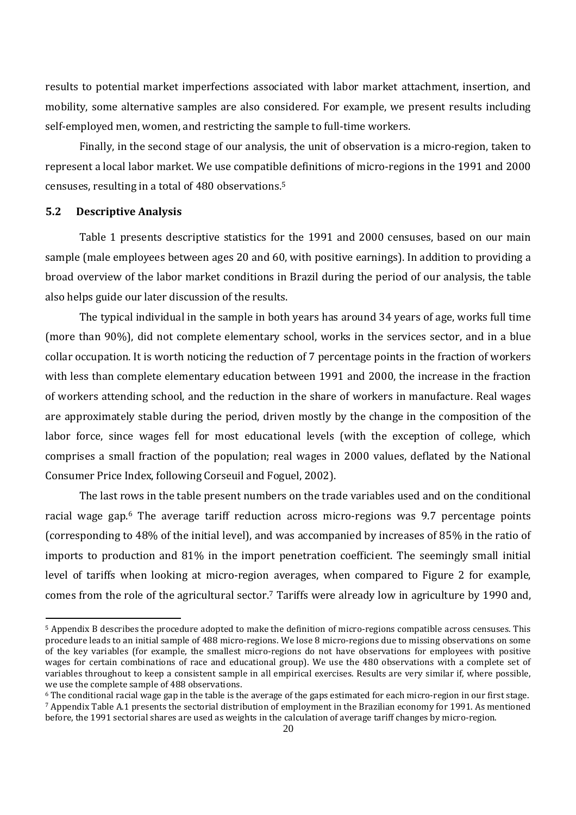results to potential market imperfections associated with labor market attachment, insertion, and mobility, some alternative samples are also considered. For example, we present results including self-employed men, women, and restricting the sample to full-time workers.

Finally, in the second stage of our analysis, the unit of observation is a micro-region, taken to represent a local labor market. We use compatible definitions of micro-regions in the 1991 and 2000 censuses, resulting in a total of 480 observations.<sup>5</sup>

#### **5.2 Descriptive Analysis**

Table 1 presents descriptive statistics for the 1991 and 2000 censuses, based on our main sample (male employees between ages 20 and 60, with positive earnings). In addition to providing a broad overview of the labor market conditions in Brazil during the period of our analysis, the table also helps guide our later discussion of the results.

The typical individual in the sample in both years has around 34 years of age, works full time (more than 90%), did not complete elementary school, works in the services sector, and in a blue collar occupation. It is worth noticing the reduction of 7 percentage points in the fraction of workers with less than complete elementary education between 1991 and 2000, the increase in the fraction of workers attending school, and the reduction in the share of workers in manufacture. Real wages are approximately stable during the period, driven mostly by the change in the composition of the labor force, since wages fell for most educational levels (with the exception of college, which comprises a small fraction of the population; real wages in 2000 values, deflated by the National Consumer Price Index, following Corseuil and Foguel, 2002).

The last rows in the table present numbers on the trade variables used and on the conditional racial wage gap.<sup>6</sup> The average tariff reduction across micro-regions was 9.7 percentage points (corresponding to 48% of the initial level), and was accompanied by increases of 85% in the ratio of imports to production and 81% in the import penetration coefficient. The seemingly small initial level of tariffs when looking at micro-region averages, when compared to Figure 2 for example, comes from the role of the agricultural sector.<sup>7</sup> Tariffs were already low in agriculture by 1990 and,

<sup>5</sup> Appendix B describes the procedure adopted to make the definition of micro-regions compatible across censuses. This procedure leads to an initial sample of 488 micro-regions. We lose 8 micro-regions due to missing observations on some of the key variables (for example, the smallest micro-regions do not have observations for employees with positive wages for certain combinations of race and educational group). We use the 480 observations with a complete set of variables throughout to keep a consistent sample in all empirical exercises. Results are very similar if, where possible, we use the complete sample of 488 observations.

<sup>6</sup> The conditional racial wage gap in the table is the average of the gaps estimated for each micro-region in our first stage. <sup>7</sup> Appendix Table A.1 presents the sectorial distribution of employment in the Brazilian economy for 1991. As mentioned before, the 1991 sectorial shares are used as weights in the calculation of average tariff changes by micro-region.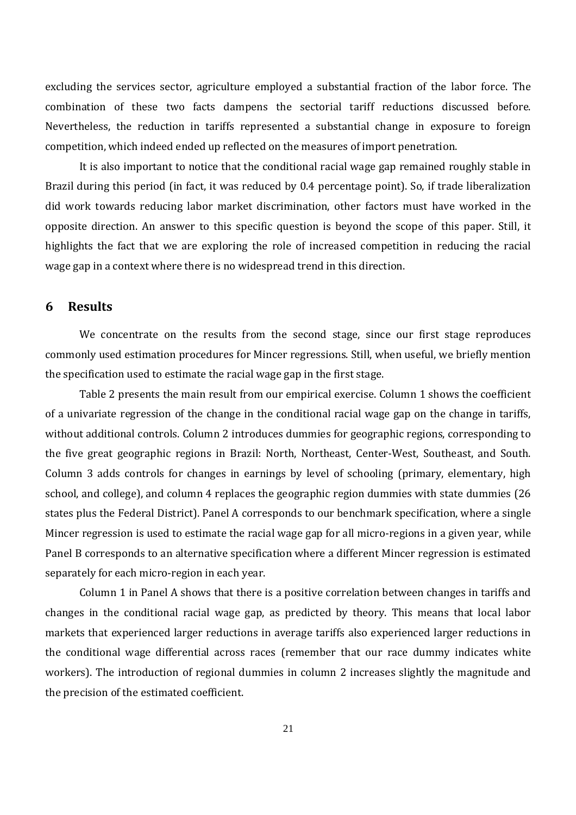excluding the services sector, agriculture employed a substantial fraction of the labor force. The combination of these two facts dampens the sectorial tariff reductions discussed before. Nevertheless, the reduction in tariffs represented a substantial change in exposure to foreign competition, which indeed ended up reflected on the measures of import penetration.

It is also important to notice that the conditional racial wage gap remained roughly stable in Brazil during this period (in fact, it was reduced by 0.4 percentage point). So, if trade liberalization did work towards reducing labor market discrimination, other factors must have worked in the opposite direction. An answer to this specific question is beyond the scope of this paper. Still, it highlights the fact that we are exploring the role of increased competition in reducing the racial wage gap in a context where there is no widespread trend in this direction.

#### **6 Results**

We concentrate on the results from the second stage, since our first stage reproduces commonly used estimation procedures for Mincer regressions. Still, when useful, we briefly mention the specification used to estimate the racial wage gap in the first stage.

Table 2 presents the main result from our empirical exercise. Column 1 shows the coefficient of a univariate regression of the change in the conditional racial wage gap on the change in tariffs, without additional controls. Column 2 introduces dummies for geographic regions, corresponding to the five great geographic regions in Brazil: North, Northeast, Center-West, Southeast, and South. Column 3 adds controls for changes in earnings by level of schooling (primary, elementary, high school, and college), and column 4 replaces the geographic region dummies with state dummies (26 states plus the Federal District). Panel A corresponds to our benchmark specification, where a single Mincer regression is used to estimate the racial wage gap for all micro-regions in a given year, while Panel B corresponds to an alternative specification where a different Mincer regression is estimated separately for each micro-region in each year.

Column 1 in Panel A shows that there is a positive correlation between changes in tariffs and changes in the conditional racial wage gap, as predicted by theory. This means that local labor markets that experienced larger reductions in average tariffs also experienced larger reductions in the conditional wage differential across races (remember that our race dummy indicates white workers). The introduction of regional dummies in column 2 increases slightly the magnitude and the precision of the estimated coefficient.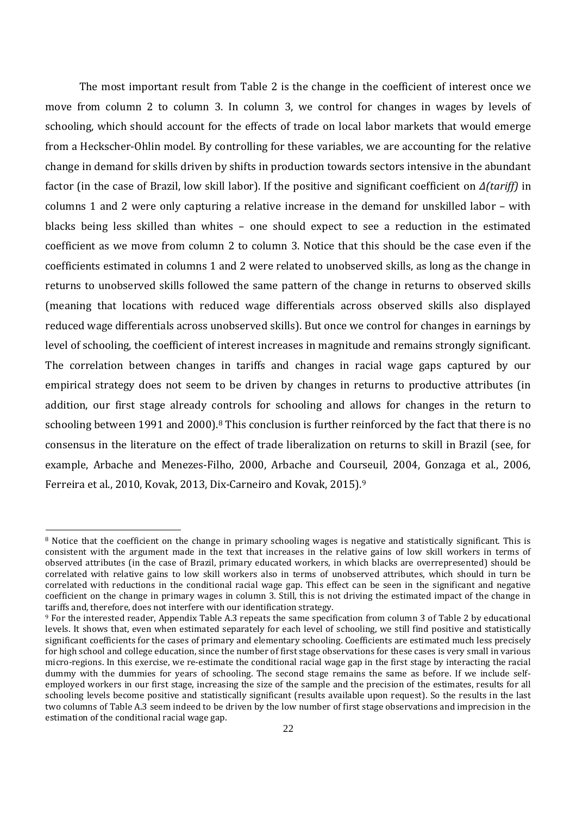The most important result from Table 2 is the change in the coefficient of interest once we move from column 2 to column 3. In column 3, we control for changes in wages by levels of schooling, which should account for the effects of trade on local labor markets that would emerge from a Heckscher-Ohlin model. By controlling for these variables, we are accounting for the relative change in demand for skills driven by shifts in production towards sectors intensive in the abundant factor (in the case of Brazil, low skill labor). If the positive and significant coefficient on *Δ(tariff)* in columns 1 and 2 were only capturing a relative increase in the demand for unskilled labor – with blacks being less skilled than whites – one should expect to see a reduction in the estimated coefficient as we move from column 2 to column 3. Notice that this should be the case even if the coefficients estimated in columns 1 and 2 were related to unobserved skills, as long as the change in returns to unobserved skills followed the same pattern of the change in returns to observed skills (meaning that locations with reduced wage differentials across observed skills also displayed reduced wage differentials across unobserved skills). But once we control for changes in earnings by level of schooling, the coefficient of interest increases in magnitude and remains strongly significant. The correlation between changes in tariffs and changes in racial wage gaps captured by our empirical strategy does not seem to be driven by changes in returns to productive attributes (in addition, our first stage already controls for schooling and allows for changes in the return to schooling between 1991 and 2000).<sup>8</sup> This conclusion is further reinforced by the fact that there is no consensus in the literature on the effect of trade liberalization on returns to skill in Brazil (see, for example, Arbache and Menezes-Filho, 2000, Arbache and Courseuil, 2004, Gonzaga et al., 2006, Ferreira et al., 2010, Kovak, 2013, Dix-Carneiro and Kovak, 2015).<sup>9</sup>

<sup>&</sup>lt;sup>8</sup> Notice that the coefficient on the change in primary schooling wages is negative and statistically significant. This is consistent with the argument made in the text that increases in the relative gains of low skill workers in terms of observed attributes (in the case of Brazil, primary educated workers, in which blacks are overrepresented) should be correlated with relative gains to low skill workers also in terms of unobserved attributes, which should in turn be correlated with reductions in the conditional racial wage gap. This effect can be seen in the significant and negative coefficient on the change in primary wages in column 3. Still, this is not driving the estimated impact of the change in tariffs and, therefore, does not interfere with our identification strategy.

<sup>9</sup> For the interested reader, Appendix Table A.3 repeats the same specification from column 3 of Table 2 by educational levels. It shows that, even when estimated separately for each level of schooling, we still find positive and statistically significant coefficients for the cases of primary and elementary schooling. Coefficients are estimated much less precisely for high school and college education, since the number of first stage observations for these cases is very small in various micro-regions. In this exercise, we re-estimate the conditional racial wage gap in the first stage by interacting the racial dummy with the dummies for years of schooling. The second stage remains the same as before. If we include selfemployed workers in our first stage, increasing the size of the sample and the precision of the estimates, results for all schooling levels become positive and statistically significant (results available upon request). So the results in the last two columns of Table A.3 seem indeed to be driven by the low number of first stage observations and imprecision in the estimation of the conditional racial wage gap.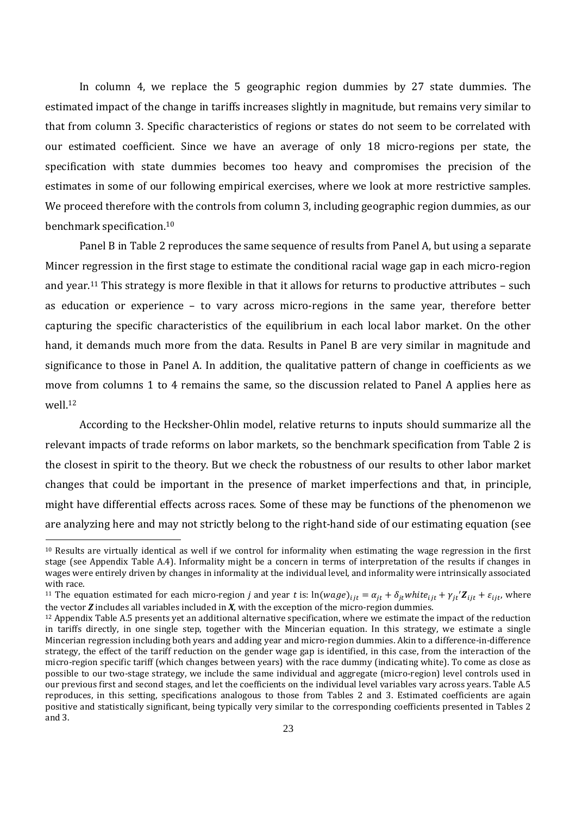In column 4, we replace the 5 geographic region dummies by 27 state dummies. The estimated impact of the change in tariffs increases slightly in magnitude, but remains very similar to that from column 3. Specific characteristics of regions or states do not seem to be correlated with our estimated coefficient. Since we have an average of only 18 micro-regions per state, the specification with state dummies becomes too heavy and compromises the precision of the estimates in some of our following empirical exercises, where we look at more restrictive samples. We proceed therefore with the controls from column 3, including geographic region dummies, as our benchmark specification.<sup>10</sup>

Panel B in Table 2 reproduces the same sequence of results from Panel A, but using a separate Mincer regression in the first stage to estimate the conditional racial wage gap in each micro-region and year.<sup>11</sup> This strategy is more flexible in that it allows for returns to productive attributes – such as education or experience – to vary across micro-regions in the same year, therefore better capturing the specific characteristics of the equilibrium in each local labor market. On the other hand, it demands much more from the data. Results in Panel B are very similar in magnitude and significance to those in Panel A. In addition, the qualitative pattern of change in coefficients as we move from columns 1 to 4 remains the same, so the discussion related to Panel A applies here as well.<sup>12</sup>

According to the Hecksher-Ohlin model, relative returns to inputs should summarize all the relevant impacts of trade reforms on labor markets, so the benchmark specification from Table 2 is the closest in spirit to the theory. But we check the robustness of our results to other labor market changes that could be important in the presence of market imperfections and that, in principle, might have differential effects across races. Some of these may be functions of the phenomenon we are analyzing here and may not strictly belong to the right-hand side of our estimating equation (see

 $10$  Results are virtually identical as well if we control for informality when estimating the wage regression in the first stage (see Appendix Table A.4). Informality might be a concern in terms of interpretation of the results if changes in wages were entirely driven by changes in informality at the individual level, and informality were intrinsically associated with race.

<sup>&</sup>lt;sup>11</sup> The equation estimated for each micro-region *j* and year *t* is:  $\ln(wage)_{ijt} = \alpha_{jt} + \delta_{jt} white_{ijt} + \gamma_{jt}'Z_{ijt} + \varepsilon_{ijt}$ , where the vector *Z* includes all variables included in *X*, with the exception of the micro-region dummies.

 $12$  Appendix Table A.5 presents yet an additional alternative specification, where we estimate the impact of the reduction in tariffs directly, in one single step, together with the Mincerian equation. In this strategy, we estimate a single Mincerian regression including both years and adding year and micro-region dummies. Akin to a difference-in-difference strategy, the effect of the tariff reduction on the gender wage gap is identified, in this case, from the interaction of the micro-region specific tariff (which changes between years) with the race dummy (indicating white). To come as close as possible to our two-stage strategy, we include the same individual and aggregate (micro-region) level controls used in our previous first and second stages, and let the coefficients on the individual level variables vary across years. Table A.5 reproduces, in this setting, specifications analogous to those from Tables 2 and 3. Estimated coefficients are again positive and statistically significant, being typically very similar to the corresponding coefficients presented in Tables 2 and 3.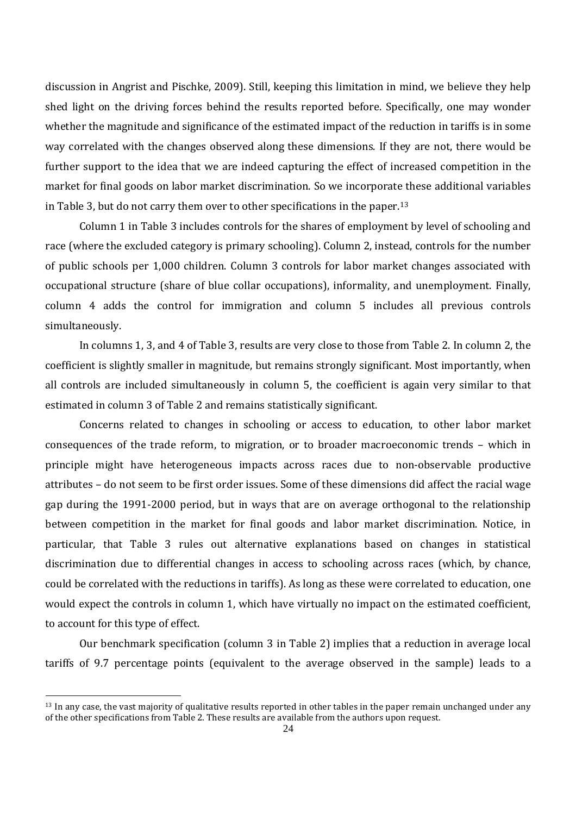discussion in Angrist and Pischke, 2009). Still, keeping this limitation in mind, we believe they help shed light on the driving forces behind the results reported before. Specifically, one may wonder whether the magnitude and significance of the estimated impact of the reduction in tariffs is in some way correlated with the changes observed along these dimensions. If they are not, there would be further support to the idea that we are indeed capturing the effect of increased competition in the market for final goods on labor market discrimination. So we incorporate these additional variables in Table 3, but do not carry them over to other specifications in the paper.<sup>13</sup>

Column 1 in Table 3 includes controls for the shares of employment by level of schooling and race (where the excluded category is primary schooling). Column 2, instead, controls for the number of public schools per 1,000 children. Column 3 controls for labor market changes associated with occupational structure (share of blue collar occupations), informality, and unemployment. Finally, column 4 adds the control for immigration and column 5 includes all previous controls simultaneously.

In columns 1, 3, and 4 of Table 3, results are very close to those from Table 2. In column 2, the coefficient is slightly smaller in magnitude, but remains strongly significant. Most importantly, when all controls are included simultaneously in column 5, the coefficient is again very similar to that estimated in column 3 of Table 2 and remains statistically significant.

Concerns related to changes in schooling or access to education, to other labor market consequences of the trade reform, to migration, or to broader macroeconomic trends – which in principle might have heterogeneous impacts across races due to non-observable productive attributes – do not seem to be first order issues. Some of these dimensions did affect the racial wage gap during the 1991-2000 period, but in ways that are on average orthogonal to the relationship between competition in the market for final goods and labor market discrimination. Notice, in particular, that Table 3 rules out alternative explanations based on changes in statistical discrimination due to differential changes in access to schooling across races (which, by chance, could be correlated with the reductions in tariffs). As long as these were correlated to education, one would expect the controls in column 1, which have virtually no impact on the estimated coefficient, to account for this type of effect.

Our benchmark specification (column 3 in Table 2) implies that a reduction in average local tariffs of 9.7 percentage points (equivalent to the average observed in the sample) leads to a

 $13$  In any case, the vast majority of qualitative results reported in other tables in the paper remain unchanged under any of the other specifications from Table 2. These results are available from the authors upon request.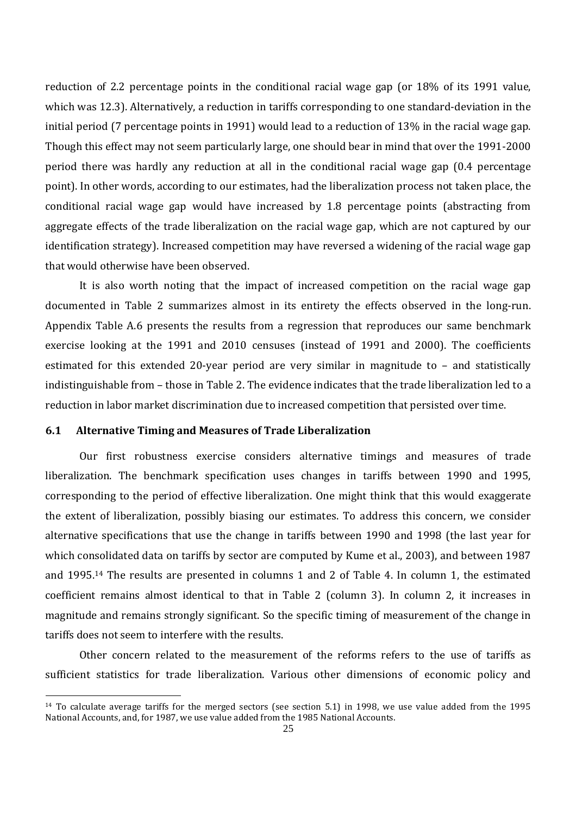reduction of 2.2 percentage points in the conditional racial wage gap (or 18% of its 1991 value, which was 12.3). Alternatively, a reduction in tariffs corresponding to one standard-deviation in the initial period (7 percentage points in 1991) would lead to a reduction of 13% in the racial wage gap. Though this effect may not seem particularly large, one should bear in mind that over the 1991-2000 period there was hardly any reduction at all in the conditional racial wage gap (0.4 percentage point). In other words, according to our estimates, had the liberalization process not taken place, the conditional racial wage gap would have increased by 1.8 percentage points (abstracting from aggregate effects of the trade liberalization on the racial wage gap, which are not captured by our identification strategy). Increased competition may have reversed a widening of the racial wage gap that would otherwise have been observed.

It is also worth noting that the impact of increased competition on the racial wage gap documented in Table 2 summarizes almost in its entirety the effects observed in the long-run. Appendix Table A.6 presents the results from a regression that reproduces our same benchmark exercise looking at the 1991 and 2010 censuses (instead of 1991 and 2000). The coefficients estimated for this extended 20-year period are very similar in magnitude to – and statistically indistinguishable from – those in Table 2. The evidence indicates that the trade liberalization led to a reduction in labor market discrimination due to increased competition that persisted over time.

#### **6.1 Alternative Timing and Measures of Trade Liberalization**

Our first robustness exercise considers alternative timings and measures of trade liberalization. The benchmark specification uses changes in tariffs between 1990 and 1995, corresponding to the period of effective liberalization. One might think that this would exaggerate the extent of liberalization, possibly biasing our estimates. To address this concern, we consider alternative specifications that use the change in tariffs between 1990 and 1998 (the last year for which consolidated data on tariffs by sector are computed by Kume et al., 2003), and between 1987 and 1995.<sup>14</sup> The results are presented in columns 1 and 2 of Table 4. In column 1, the estimated coefficient remains almost identical to that in Table 2 (column 3). In column 2, it increases in magnitude and remains strongly significant. So the specific timing of measurement of the change in tariffs does not seem to interfere with the results.

Other concern related to the measurement of the reforms refers to the use of tariffs as sufficient statistics for trade liberalization. Various other dimensions of economic policy and

<sup>14</sup> To calculate average tariffs for the merged sectors (see section 5.1) in 1998, we use value added from the 1995 National Accounts, and, for 1987, we use value added from the 1985 National Accounts.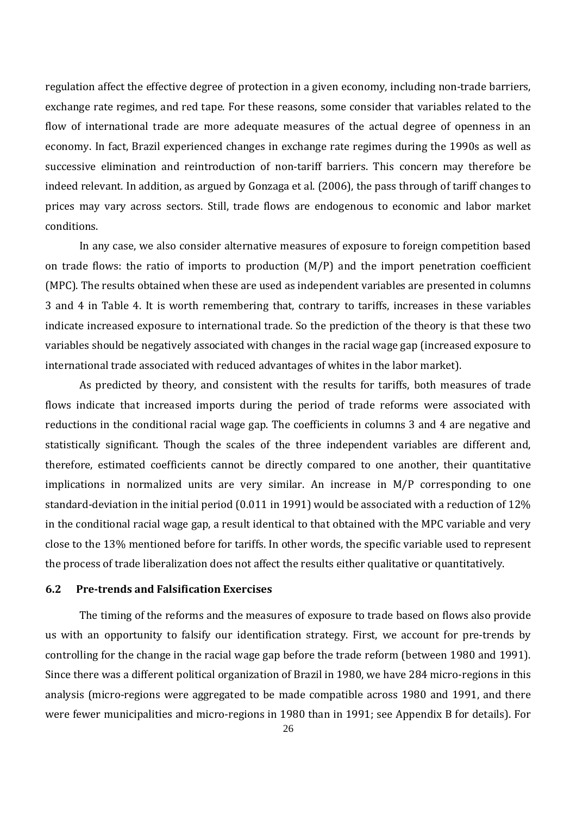regulation affect the effective degree of protection in a given economy, including non-trade barriers, exchange rate regimes, and red tape. For these reasons, some consider that variables related to the flow of international trade are more adequate measures of the actual degree of openness in an economy. In fact, Brazil experienced changes in exchange rate regimes during the 1990s as well as successive elimination and reintroduction of non-tariff barriers. This concern may therefore be indeed relevant. In addition, as argued by Gonzaga et al. (2006), the pass through of tariff changes to prices may vary across sectors. Still, trade flows are endogenous to economic and labor market conditions.

In any case, we also consider alternative measures of exposure to foreign competition based on trade flows: the ratio of imports to production  $(M/P)$  and the import penetration coefficient (MPC). The results obtained when these are used as independent variables are presented in columns 3 and 4 in Table 4. It is worth remembering that, contrary to tariffs, increases in these variables indicate increased exposure to international trade. So the prediction of the theory is that these two variables should be negatively associated with changes in the racial wage gap (increased exposure to international trade associated with reduced advantages of whites in the labor market).

As predicted by theory, and consistent with the results for tariffs, both measures of trade flows indicate that increased imports during the period of trade reforms were associated with reductions in the conditional racial wage gap. The coefficients in columns 3 and 4 are negative and statistically significant. Though the scales of the three independent variables are different and, therefore, estimated coefficients cannot be directly compared to one another, their quantitative implications in normalized units are very similar. An increase in M/P corresponding to one standard-deviation in the initial period (0.011 in 1991) would be associated with a reduction of 12% in the conditional racial wage gap, a result identical to that obtained with the MPC variable and very close to the 13% mentioned before for tariffs. In other words, the specific variable used to represent the process of trade liberalization does not affect the results either qualitative or quantitatively.

#### **6.2 Pre-trends and Falsification Exercises**

The timing of the reforms and the measures of exposure to trade based on flows also provide us with an opportunity to falsify our identification strategy. First, we account for pre-trends by controlling for the change in the racial wage gap before the trade reform (between 1980 and 1991). Since there was a different political organization of Brazil in 1980, we have 284 micro-regions in this analysis (micro-regions were aggregated to be made compatible across 1980 and 1991, and there were fewer municipalities and micro-regions in 1980 than in 1991; see Appendix B for details). For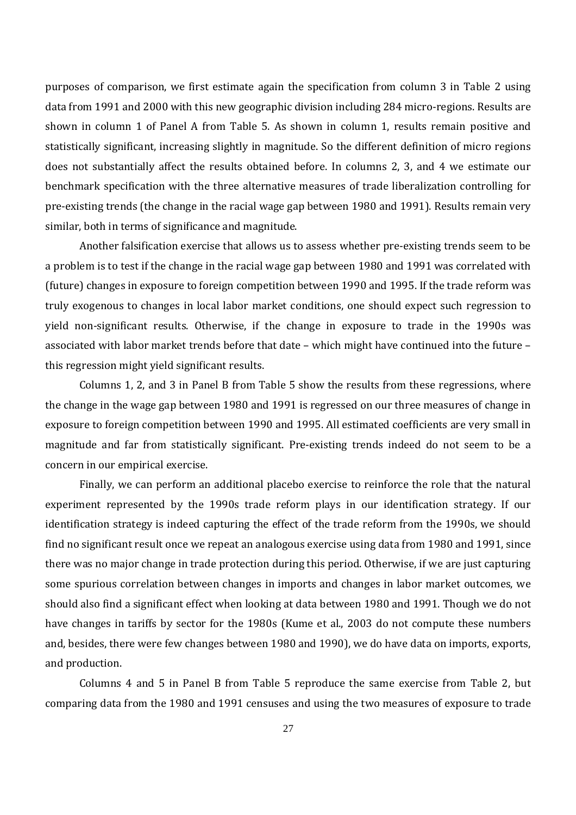purposes of comparison, we first estimate again the specification from column 3 in Table 2 using data from 1991 and 2000 with this new geographic division including 284 micro-regions. Results are shown in column 1 of Panel A from Table 5. As shown in column 1, results remain positive and statistically significant, increasing slightly in magnitude. So the different definition of micro regions does not substantially affect the results obtained before. In columns 2, 3, and 4 we estimate our benchmark specification with the three alternative measures of trade liberalization controlling for pre-existing trends (the change in the racial wage gap between 1980 and 1991). Results remain very similar, both in terms of significance and magnitude.

Another falsification exercise that allows us to assess whether pre-existing trends seem to be a problem is to test if the change in the racial wage gap between 1980 and 1991 was correlated with (future) changes in exposure to foreign competition between 1990 and 1995. If the trade reform was truly exogenous to changes in local labor market conditions, one should expect such regression to yield non-significant results. Otherwise, if the change in exposure to trade in the 1990s was associated with labor market trends before that date – which might have continued into the future – this regression might yield significant results.

Columns 1, 2, and 3 in Panel B from Table 5 show the results from these regressions, where the change in the wage gap between 1980 and 1991 is regressed on our three measures of change in exposure to foreign competition between 1990 and 1995. All estimated coefficients are very small in magnitude and far from statistically significant. Pre-existing trends indeed do not seem to be a concern in our empirical exercise.

Finally, we can perform an additional placebo exercise to reinforce the role that the natural experiment represented by the 1990s trade reform plays in our identification strategy. If our identification strategy is indeed capturing the effect of the trade reform from the 1990s, we should find no significant result once we repeat an analogous exercise using data from 1980 and 1991, since there was no major change in trade protection during this period. Otherwise, if we are just capturing some spurious correlation between changes in imports and changes in labor market outcomes, we should also find a significant effect when looking at data between 1980 and 1991. Though we do not have changes in tariffs by sector for the 1980s (Kume et al., 2003 do not compute these numbers and, besides, there were few changes between 1980 and 1990), we do have data on imports, exports, and production.

Columns 4 and 5 in Panel B from Table 5 reproduce the same exercise from Table 2, but comparing data from the 1980 and 1991 censuses and using the two measures of exposure to trade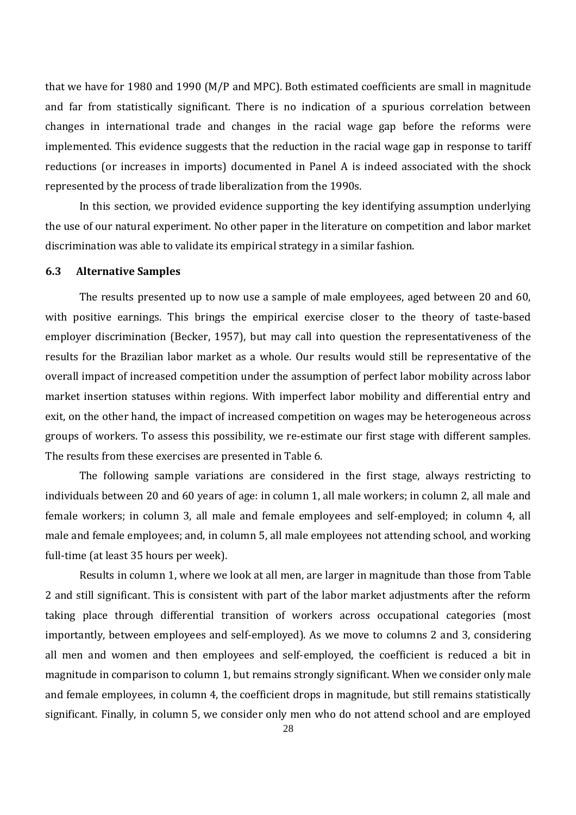that we have for 1980 and 1990 (M/P and MPC). Both estimated coefficients are small in magnitude and far from statistically significant. There is no indication of a spurious correlation between changes in international trade and changes in the racial wage gap before the reforms were implemented. This evidence suggests that the reduction in the racial wage gap in response to tariff reductions (or increases in imports) documented in Panel A is indeed associated with the shock represented by the process of trade liberalization from the 1990s.

In this section, we provided evidence supporting the key identifying assumption underlying the use of our natural experiment. No other paper in the literature on competition and labor market discrimination was able to validate its empirical strategy in a similar fashion.

#### **6.3 Alternative Samples**

The results presented up to now use a sample of male employees, aged between 20 and 60, with positive earnings. This brings the empirical exercise closer to the theory of taste-based employer discrimination (Becker, 1957), but may call into question the representativeness of the results for the Brazilian labor market as a whole. Our results would still be representative of the overall impact of increased competition under the assumption of perfect labor mobility across labor market insertion statuses within regions. With imperfect labor mobility and differential entry and exit, on the other hand, the impact of increased competition on wages may be heterogeneous across groups of workers. To assess this possibility, we re-estimate our first stage with different samples. The results from these exercises are presented in Table 6.

The following sample variations are considered in the first stage, always restricting to individuals between 20 and 60 years of age: in column 1, all male workers; in column 2, all male and female workers; in column 3, all male and female employees and self-employed; in column 4, all male and female employees; and, in column 5, all male employees not attending school, and working full-time (at least 35 hours per week).

Results in column 1, where we look at all men, are larger in magnitude than those from Table 2 and still significant. This is consistent with part of the labor market adjustments after the reform taking place through differential transition of workers across occupational categories (most importantly, between employees and self-employed). As we move to columns 2 and 3, considering all men and women and then employees and self-employed, the coefficient is reduced a bit in magnitude in comparison to column 1, but remains strongly significant. When we consider only male and female employees, in column 4, the coefficient drops in magnitude, but still remains statistically significant. Finally, in column 5, we consider only men who do not attend school and are employed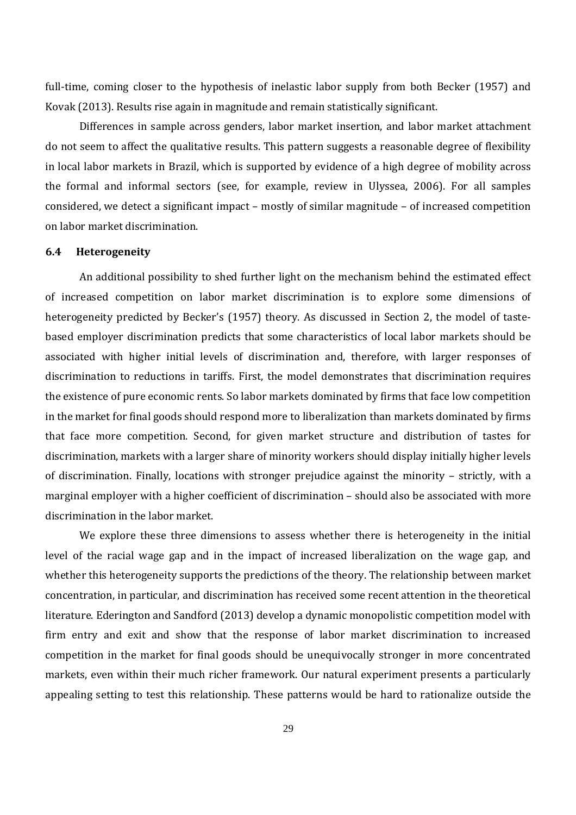full-time, coming closer to the hypothesis of inelastic labor supply from both Becker (1957) and Kovak (2013). Results rise again in magnitude and remain statistically significant.

Differences in sample across genders, labor market insertion, and labor market attachment do not seem to affect the qualitative results. This pattern suggests a reasonable degree of flexibility in local labor markets in Brazil, which is supported by evidence of a high degree of mobility across the formal and informal sectors (see, for example, review in Ulyssea, 2006). For all samples considered, we detect a significant impact – mostly of similar magnitude – of increased competition on labor market discrimination.

#### **6.4 Heterogeneity**

An additional possibility to shed further light on the mechanism behind the estimated effect of increased competition on labor market discrimination is to explore some dimensions of heterogeneity predicted by Becker's (1957) theory. As discussed in Section 2, the model of tastebased employer discrimination predicts that some characteristics of local labor markets should be associated with higher initial levels of discrimination and, therefore, with larger responses of discrimination to reductions in tariffs. First, the model demonstrates that discrimination requires the existence of pure economic rents. So labor markets dominated by firms that face low competition in the market for final goods should respond more to liberalization than markets dominated by firms that face more competition. Second, for given market structure and distribution of tastes for discrimination, markets with a larger share of minority workers should display initially higher levels of discrimination. Finally, locations with stronger prejudice against the minority – strictly, with a marginal employer with a higher coefficient of discrimination – should also be associated with more discrimination in the labor market.

We explore these three dimensions to assess whether there is heterogeneity in the initial level of the racial wage gap and in the impact of increased liberalization on the wage gap, and whether this heterogeneity supports the predictions of the theory. The relationship between market concentration, in particular, and discrimination has received some recent attention in the theoretical literature. Ederington and Sandford (2013) develop a dynamic monopolistic competition model with firm entry and exit and show that the response of labor market discrimination to increased competition in the market for final goods should be unequivocally stronger in more concentrated markets, even within their much richer framework. Our natural experiment presents a particularly appealing setting to test this relationship. These patterns would be hard to rationalize outside the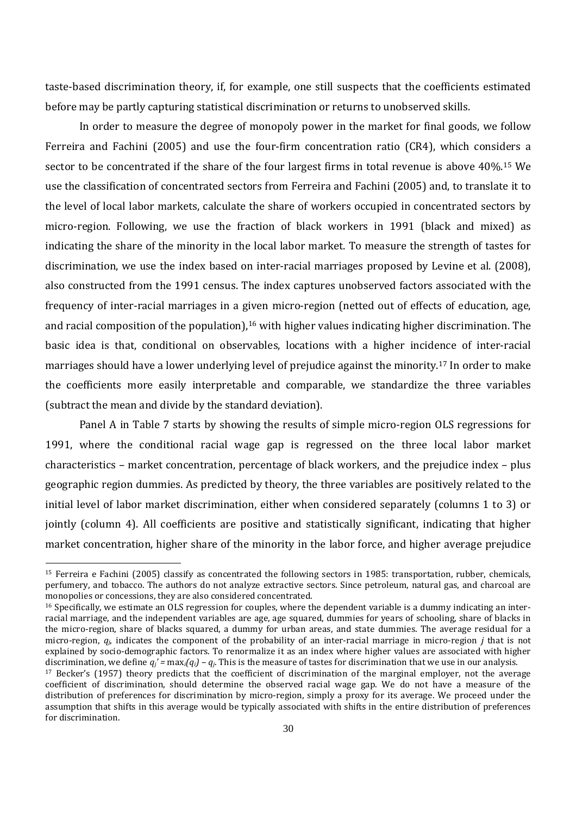taste-based discrimination theory, if, for example, one still suspects that the coefficients estimated before may be partly capturing statistical discrimination or returns to unobserved skills.

In order to measure the degree of monopoly power in the market for final goods, we follow Ferreira and Fachini (2005) and use the four-firm concentration ratio (CR4), which considers a sector to be concentrated if the share of the four largest firms in total revenue is above 40%.<sup>15</sup> We use the classification of concentrated sectors from Ferreira and Fachini (2005) and, to translate it to the level of local labor markets, calculate the share of workers occupied in concentrated sectors by micro-region. Following, we use the fraction of black workers in 1991 (black and mixed) as indicating the share of the minority in the local labor market. To measure the strength of tastes for discrimination, we use the index based on inter-racial marriages proposed by Levine et al. (2008), also constructed from the 1991 census. The index captures unobserved factors associated with the frequency of inter-racial marriages in a given micro-region (netted out of effects of education, age, and racial composition of the population),<sup>16</sup> with higher values indicating higher discrimination. The basic idea is that, conditional on observables, locations with a higher incidence of inter-racial marriages should have a lower underlying level of prejudice against the minority.<sup>17</sup> In order to make the coefficients more easily interpretable and comparable, we standardize the three variables (subtract the mean and divide by the standard deviation).

Panel A in Table 7 starts by showing the results of simple micro-region OLS regressions for 1991, where the conditional racial wage gap is regressed on the three local labor market characteristics – market concentration, percentage of black workers, and the prejudice index – plus geographic region dummies. As predicted by theory, the three variables are positively related to the initial level of labor market discrimination, either when considered separately (columns 1 to 3) or jointly (column 4). All coefficients are positive and statistically significant, indicating that higher market concentration, higher share of the minority in the labor force, and higher average prejudice

<sup>15</sup> Ferreira e Fachini (2005) classify as concentrated the following sectors in 1985: transportation, rubber, chemicals, perfumery, and tobacco. The authors do not analyze extractive sectors. Since petroleum, natural gas, and charcoal are monopolies or concessions, they are also considered concentrated.

<sup>&</sup>lt;sup>16</sup> Specifically, we estimate an OLS regression for couples, where the dependent variable is a dummy indicating an interracial marriage, and the independent variables are age, age squared, dummies for years of schooling, share of blacks in the micro-region, share of blacks squared, a dummy for urban areas, and state dummies. The average residual for a micro-region, *qj*, indicates the component of the probability of an inter-racial marriage in micro-region *j* that is not explained by socio-demographic factors. To renormalize it as an index where higher values are associated with higher discrimination, we define  $q'_i = \max_i(q_i) - q_i$ . This is the measure of tastes for discrimination that we use in our analysis.

<sup>17</sup> Becker's (1957) theory predicts that the coefficient of discrimination of the marginal employer, not the average coefficient of discrimination, should determine the observed racial wage gap. We do not have a measure of the distribution of preferences for discrimination by micro-region, simply a proxy for its average. We proceed under the assumption that shifts in this average would be typically associated with shifts in the entire distribution of preferences for discrimination.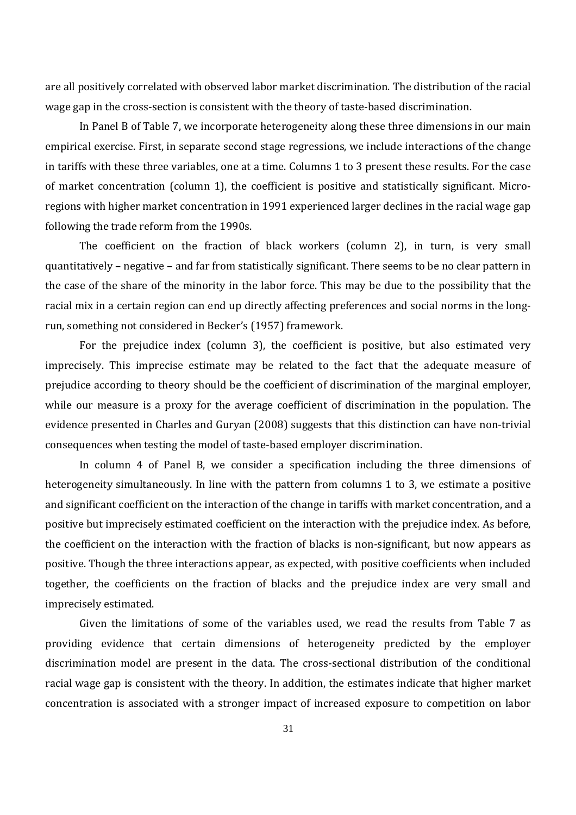are all positively correlated with observed labor market discrimination. The distribution of the racial wage gap in the cross-section is consistent with the theory of taste-based discrimination.

In Panel B of Table 7, we incorporate heterogeneity along these three dimensions in our main empirical exercise. First, in separate second stage regressions, we include interactions of the change in tariffs with these three variables, one at a time. Columns 1 to 3 present these results. For the case of market concentration (column 1), the coefficient is positive and statistically significant. Microregions with higher market concentration in 1991 experienced larger declines in the racial wage gap following the trade reform from the 1990s.

The coefficient on the fraction of black workers (column 2), in turn, is very small quantitatively – negative – and far from statistically significant. There seems to be no clear pattern in the case of the share of the minority in the labor force. This may be due to the possibility that the racial mix in a certain region can end up directly affecting preferences and social norms in the longrun, something not considered in Becker's (1957) framework.

For the prejudice index (column 3), the coefficient is positive, but also estimated very imprecisely. This imprecise estimate may be related to the fact that the adequate measure of prejudice according to theory should be the coefficient of discrimination of the marginal employer, while our measure is a proxy for the average coefficient of discrimination in the population. The evidence presented in Charles and Guryan (2008) suggests that this distinction can have non-trivial consequences when testing the model of taste-based employer discrimination.

In column 4 of Panel B, we consider a specification including the three dimensions of heterogeneity simultaneously. In line with the pattern from columns 1 to 3, we estimate a positive and significant coefficient on the interaction of the change in tariffs with market concentration, and a positive but imprecisely estimated coefficient on the interaction with the prejudice index. As before, the coefficient on the interaction with the fraction of blacks is non-significant, but now appears as positive. Though the three interactions appear, as expected, with positive coefficients when included together, the coefficients on the fraction of blacks and the prejudice index are very small and imprecisely estimated.

Given the limitations of some of the variables used, we read the results from Table 7 as providing evidence that certain dimensions of heterogeneity predicted by the employer discrimination model are present in the data. The cross-sectional distribution of the conditional racial wage gap is consistent with the theory. In addition, the estimates indicate that higher market concentration is associated with a stronger impact of increased exposure to competition on labor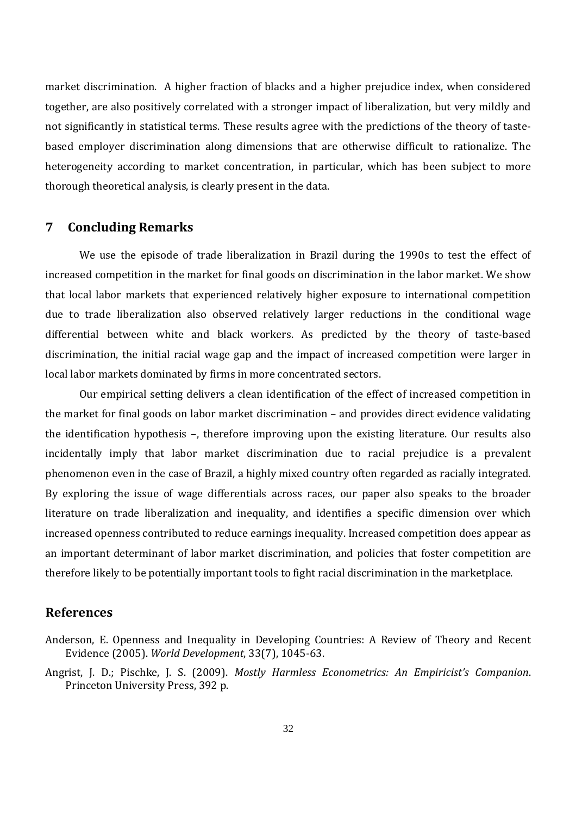market discrimination. A higher fraction of blacks and a higher prejudice index, when considered together, are also positively correlated with a stronger impact of liberalization, but very mildly and not significantly in statistical terms. These results agree with the predictions of the theory of tastebased employer discrimination along dimensions that are otherwise difficult to rationalize. The heterogeneity according to market concentration, in particular, which has been subject to more thorough theoretical analysis, is clearly present in the data.

#### **7 Concluding Remarks**

We use the episode of trade liberalization in Brazil during the 1990s to test the effect of increased competition in the market for final goods on discrimination in the labor market. We show that local labor markets that experienced relatively higher exposure to international competition due to trade liberalization also observed relatively larger reductions in the conditional wage differential between white and black workers. As predicted by the theory of taste-based discrimination, the initial racial wage gap and the impact of increased competition were larger in local labor markets dominated by firms in more concentrated sectors.

Our empirical setting delivers a clean identification of the effect of increased competition in the market for final goods on labor market discrimination – and provides direct evidence validating the identification hypothesis –, therefore improving upon the existing literature. Our results also incidentally imply that labor market discrimination due to racial prejudice is a prevalent phenomenon even in the case of Brazil, a highly mixed country often regarded as racially integrated. By exploring the issue of wage differentials across races, our paper also speaks to the broader literature on trade liberalization and inequality, and identifies a specific dimension over which increased openness contributed to reduce earnings inequality. Increased competition does appear as an important determinant of labor market discrimination, and policies that foster competition are therefore likely to be potentially important tools to fight racial discrimination in the marketplace.

#### **References**

Angrist, J. D.; Pischke, J. S. (2009). *Mostly Harmless Econometrics: An Empiricist's Companion*. Princeton University Press, 392 p.

Anderson, E. Openness and Inequality in Developing Countries: A Review of Theory and Recent Evidence (2005). *World Development*, 33(7), 1045-63.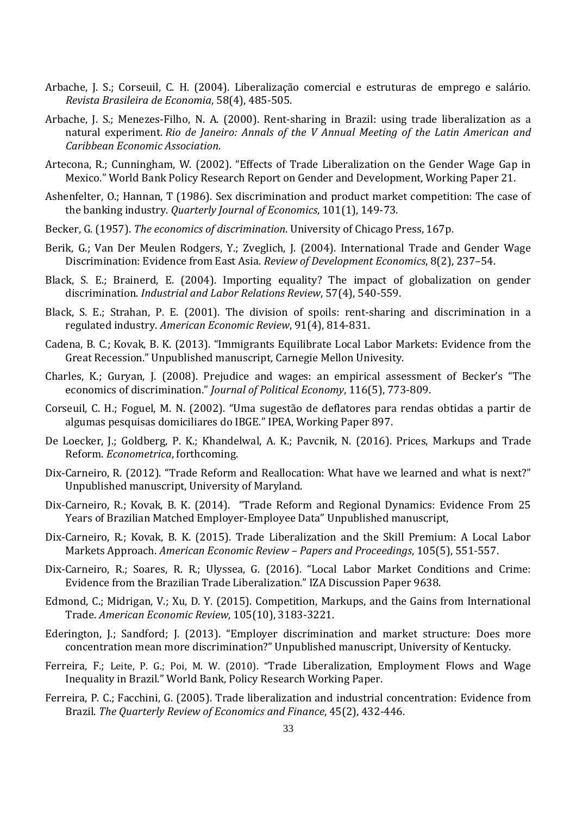- Arbache, J. S.; Corseuil, C. H. (2004). Liberalização comercial e estruturas de emprego e salário. *Revista Brasileira de Economia*, 58(4), 485-505.
- Arbache, J. S.; Menezes-Filho, N. A. (2000). Rent-sharing in Brazil: using trade liberalization as a natural experiment. *Rio de Janeiro: Annals of the V Annual Meeting of the Latin American and Caribbean Economic Association*.
- Artecona, R.; Cunningham, W. (2002). "Effects of Trade Liberalization on the Gender Wage Gap in Mexico." World Bank Policy Research Report on Gender and Development, Working Paper 21.
- Ashenfelter, O.; Hannan, T (1986). Sex discrimination and product market competition: The case of the banking industry. *Quarterly Journal of Economics*, 101(1), 149-73.
- Becker, G. (1957). *The economics of discrimination*. University of Chicago Press, 167p.
- Berik, G.; Van Der Meulen Rodgers, Y.; Zveglich, J. (2004). International Trade and Gender Wage Discrimination: Evidence from East Asia. *Review of Development Economics*, 8(2), 237–54.
- Black, S. E.; Brainerd, E. (2004). Importing equality? The impact of globalization on gender discrimination. *Industrial and Labor Relations Review*, 57(4), 540-559.
- Black, S. E.; Strahan, P. E. (2001). The division of spoils: rent-sharing and discrimination in a regulated industry. *American Economic Review*, 91(4), 814-831.
- Cadena, B. C.; Kovak, B. K. (2013). "Immigrants Equilibrate Local Labor Markets: Evidence from the Great Recession." Unpublished manuscript, Carnegie Mellon Univesity.
- Charles, K.; Guryan, J. (2008). Prejudice and wages: an empirical assessment of Becker's "The economics of discrimination." *Journal of Political Economy*, 116(5), 773-809.
- Corseuil, C. H.; Foguel, M. N. (2002). "Uma sugestão de deflatores para rendas obtidas a partir de algumas pesquisas domiciliares do IBGE." IPEA, Working Paper 897.
- De Loecker, J.; Goldberg, P. K.; Khandelwal, A. K.; Pavcnik, N. (2016). Prices, Markups and Trade Reform. *Econometrica*, forthcoming.
- Dix-Carneiro, R. (2012). "Trade Reform and Reallocation: What have we learned and what is next?" Unpublished manuscript, University of Maryland.
- Dix-Carneiro, R.; Kovak, B. K. (2014). "Trade Reform and Regional Dynamics: Evidence From 25 Years of Brazilian Matched Employer-Employee Data" Unpublished manuscript,
- Dix-Carneiro, R.; Kovak, B. K. (2015). Trade Liberalization and the Skill Premium: A Local Labor Markets Approach. *American Economic Review – Papers and Proceedings*, 105(5), 551-557.
- Dix-Carneiro, R.; Soares, R. R.; Ulyssea, G. (2016). "Local Labor Market Conditions and Crime: Evidence from the Brazilian Trade Liberalization." IZA Discussion Paper 9638.
- Edmond, C.; Midrigan, V.; Xu, D. Y. (2015). Competition, Markups, and the Gains from International Trade. *American Economic Review*, 105(10), 3183-3221.
- Ederington, J.; Sandford; J. (2013). "Employer discrimination and market structure: Does more concentration mean more discrimination?" Unpublished manuscript, University of Kentucky.
- Ferreira, F.; Leite, P. G.; Poi, M. W. (2010). "Trade Liberalization, Employment Flows and Wage Inequality in Brazil." World Bank, Policy Research Working Paper.
- Ferreira, P. C.; Facchini, G. (2005). Trade liberalization and industrial concentration: Evidence from Brazil. *The Quarterly Review of Economics and Finance*, 45(2), 432-446.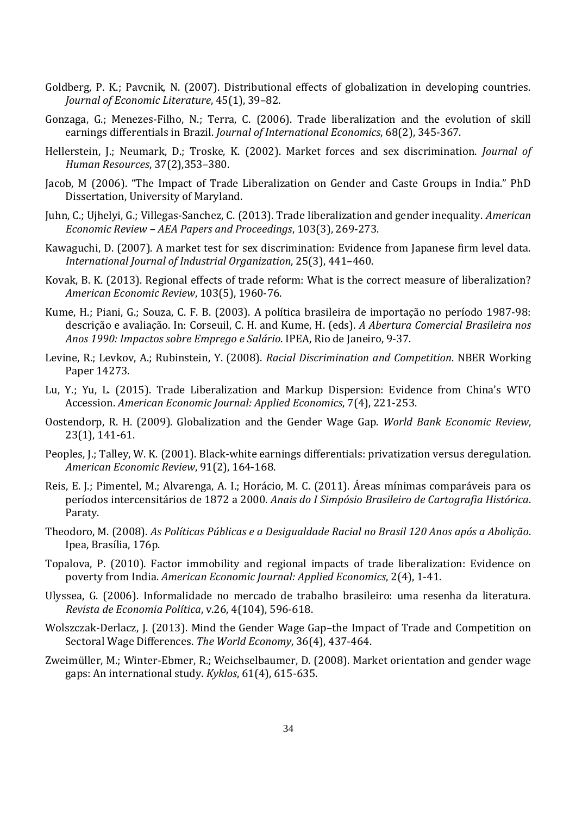- Goldberg, P. K.; Pavcnik, N. (2007). Distributional effects of globalization in developing countries. *Journal of Economic Literature*, 45(1), 39–82.
- Gonzaga, G.; Menezes-Filho, N.; Terra, C. (2006). Trade liberalization and the evolution of skill earnings differentials in Brazil. *Journal of International Economics*, 68(2), 345-367.
- Hellerstein, J.; Neumark, D.; Troske, K. (2002). Market forces and sex discrimination. *Journal of Human Resources*, 37(2),353–380.
- Jacob, M (2006). "The Impact of Trade Liberalization on Gender and Caste Groups in India." PhD Dissertation, University of Maryland.
- Juhn, C.; Ujhelyi, G.; Villegas-Sanchez, C. (2013). Trade liberalization and gender inequality. *American Economic Review – AEA Papers and Proceedings*, 103(3), 269-273.
- Kawaguchi, D. (2007). A market test for sex discrimination: Evidence from Japanese firm level data. *International Journal of Industrial Organization*, 25(3), 441–460.
- Kovak, B. K. (2013). Regional effects of trade reform: What is the correct measure of liberalization? *American Economic Review*, 103(5), 1960-76.
- Kume, H.; Piani, G.; Souza, C. F. B. (2003). A política brasileira de importação no período 1987-98: descrição e avaliação. In: Corseuil, C. H. and Kume, H. (eds). *A Abertura Comercial Brasileira nos Anos 1990: Impactos sobre Emprego e Salário*. IPEA, Rio de Janeiro, 9-37.
- Levine, R.; Levkov, A.; Rubinstein, Y. (2008). *Racial Discrimination and Competition*. NBER Working Paper 14273.
- Lu, Y.; Yu, L. (2015). Trade Liberalization and Markup Dispersion: Evidence from China's WTO Accession. *American Economic Journal: Applied Economics*, 7(4), 221-253.
- Oostendorp, R. H. (2009). Globalization and the Gender Wage Gap. *World Bank Economic Review*, 23(1), 141-61.
- Peoples, J.; Talley, W. K. (2001). Black-white earnings differentials: privatization versus deregulation. *American Economic Review*, 91(2), 164-168.
- Reis, E. J.; Pimentel, M.; Alvarenga, A. I.; Horácio, M. C. (2011). Áreas mínimas comparáveis para os períodos intercensitários de 1872 a 2000. *Anais do I Simpósio Brasileiro de Cartografia Histórica*. Paraty.
- Theodoro, M. (2008). *As Políticas Públicas e a Desigualdade Racial no Brasil 120 Anos após a Abolição*. Ipea, Brasília, 176p.
- Topalova, P. (2010). Factor immobility and regional impacts of trade liberalization: Evidence on poverty from India. *American Economic Journal: Applied Economics*, 2(4), 1-41.
- Ulyssea, G. (2006). Informalidade no mercado de trabalho brasileiro: uma resenha da literatura. *Revista de Economia Política*, v.26, 4(104), 596-618.
- Wolszczak-Derlacz, J. (2013). Mind the Gender Wage Gap–the Impact of Trade and Competition on Sectoral Wage Differences. *The World Economy*, 36(4), 437-464.
- Zweimüller, M.; Winter-Ebmer, R.; Weichselbaumer, D. (2008). Market orientation and gender wage gaps: An international study. *Kyklos*, 61(4), 615-635.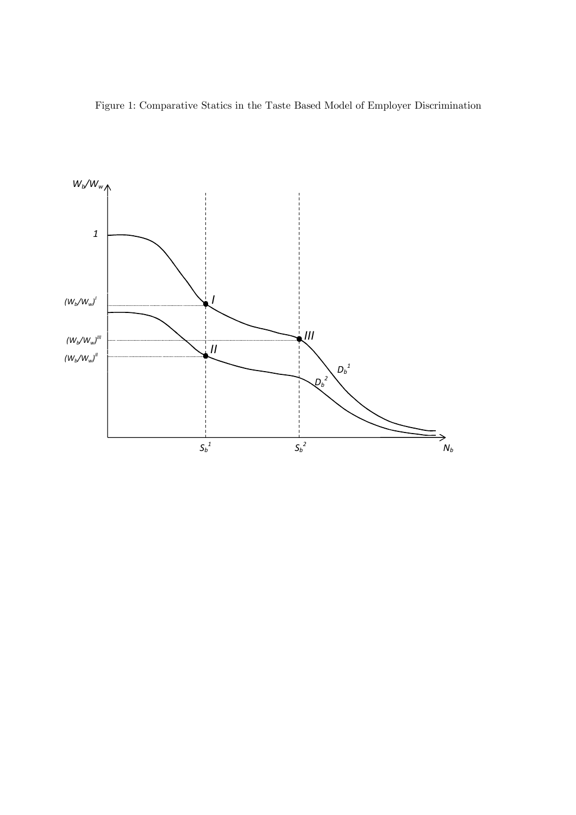Figure 1: Comparative Statics in the Taste Based Model of Employer Discrimination

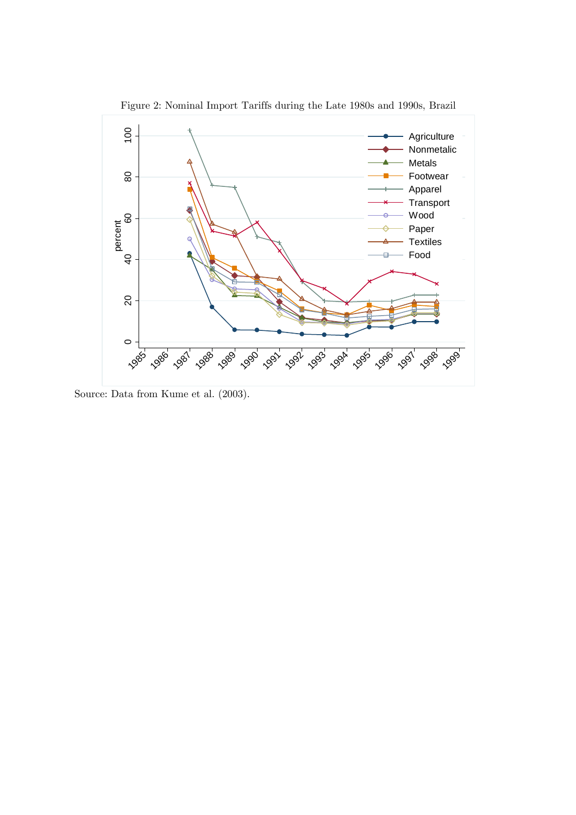

Source: Data from Kume et al. (2003).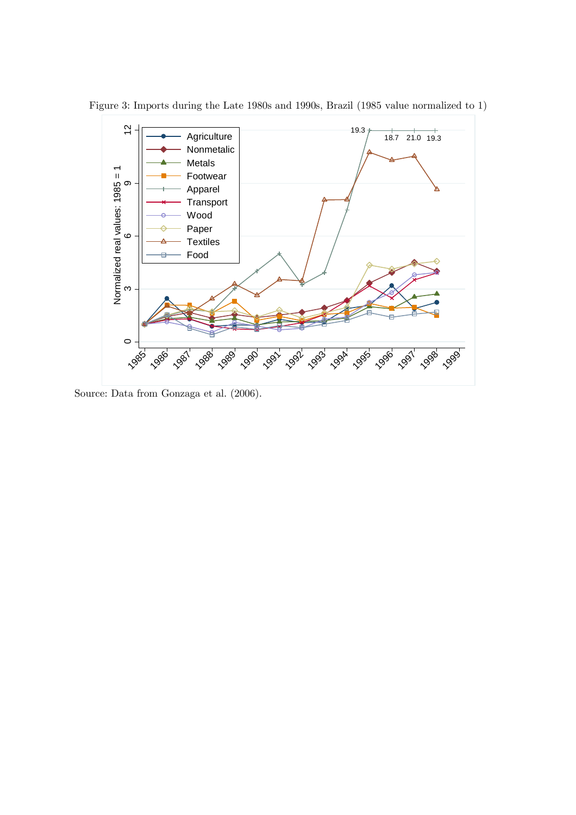

Figure 3: Imports during the Late 1980s and 1990s, Brazil (1985 value normalized to 1)

Source: Data from Gonzaga et al. (2006).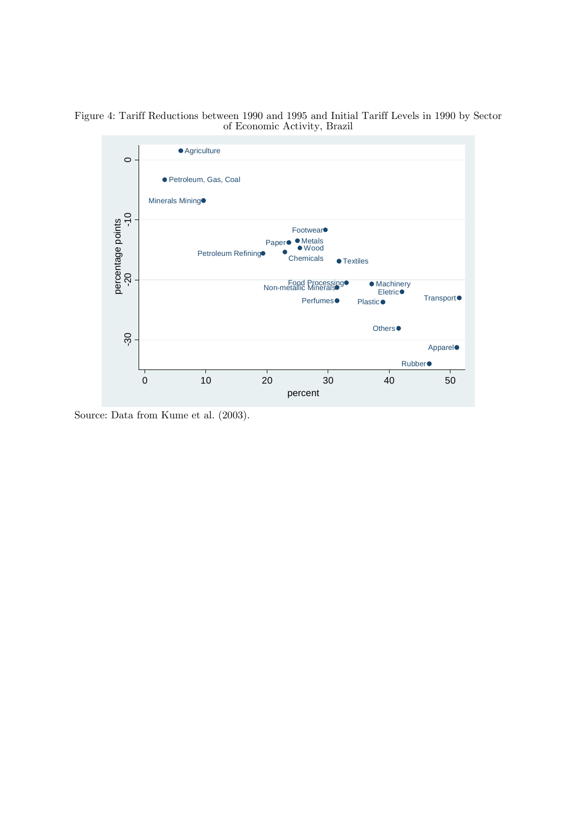Figure 4: Tariff Reductions between 1990 and 1995 and Initial Tariff Levels in 1990 by Sector of Economic Activity, Brazil



Source: Data from Kume et al. (2003).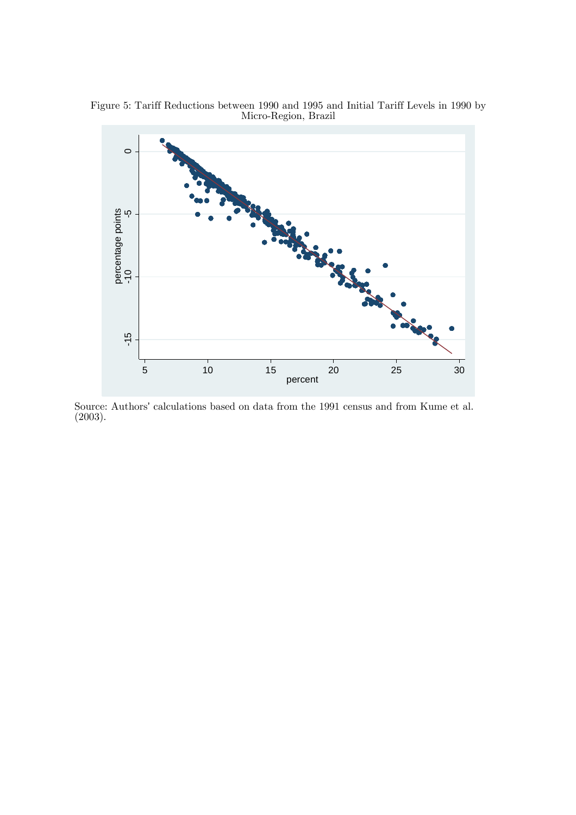Figure 5: Tariff Reductions between 1990 and 1995 and Initial Tariff Levels in 1990 by Micro-Region, Brazil



Source: Authors' calculations based on data from the 1991 census and from Kume et al. (2003).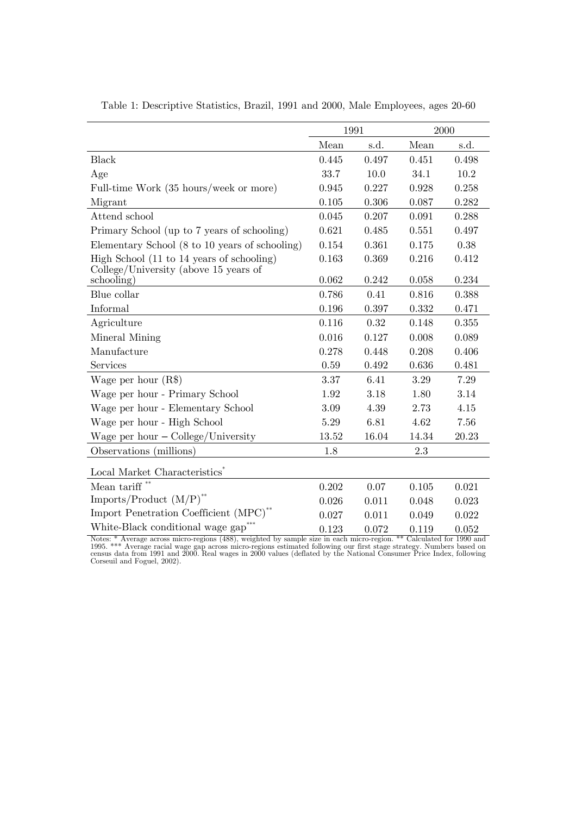|                                                     | 1991  |       | 2000  |       |
|-----------------------------------------------------|-------|-------|-------|-------|
|                                                     | Mean  | s.d.  | Mean  | s.d.  |
| <b>Black</b>                                        | 0.445 | 0.497 | 0.451 | 0.498 |
| Age                                                 | 33.7  | 10.0  | 34.1  | 10.2  |
| Full-time Work (35 hours/week or more)              | 0.945 | 0.227 | 0.928 | 0.258 |
| Migrant                                             | 0.105 | 0.306 | 0.087 | 0.282 |
| Attend school                                       | 0.045 | 0.207 | 0.091 | 0.288 |
| Primary School (up to 7 years of schooling)         | 0.621 | 0.485 | 0.551 | 0.497 |
| Elementary School (8 to 10 years of schooling)      | 0.154 | 0.361 | 0.175 | 0.38  |
| High School (11 to 14 years of schooling)           | 0.163 | 0.369 | 0.216 | 0.412 |
| College/University (above 15 years of<br>schooling) | 0.062 | 0.242 | 0.058 | 0.234 |
| Blue collar                                         | 0.786 | 0.41  | 0.816 | 0.388 |
| Informal                                            | 0.196 | 0.397 | 0.332 | 0.471 |
| Agriculture                                         | 0.116 | 0.32  | 0.148 | 0.355 |
| Mineral Mining                                      | 0.016 | 0.127 | 0.008 | 0.089 |
| Manufacture                                         | 0.278 | 0.448 | 0.208 | 0.406 |
| Services                                            | 0.59  | 0.492 | 0.636 | 0.481 |
| Wage per hour $(R$)$                                | 3.37  | 6.41  | 3.29  | 7.29  |
| Wage per hour - Primary School                      | 1.92  | 3.18  | 1.80  | 3.14  |
| Wage per hour - Elementary School                   | 3.09  | 4.39  | 2.73  | 4.15  |
| Wage per hour - High School                         | 5.29  | 6.81  | 4.62  | 7.56  |
| Wage per hour $-\text{Collect}$ University          | 13.52 | 16.04 | 14.34 | 20.23 |
| Observations (millions)                             | 1.8   |       | 2.3   |       |
| Local Market Characteristics <sup>*</sup>           |       |       |       |       |
| Mean tariff $**$                                    | 0.202 | 0.07  | 0.105 | 0.021 |
| Imports/Product $(M/P)^{**}$                        | 0.026 | 0.011 | 0.048 | 0.023 |
| Import Penetration Coefficient (MPC) <sup>**</sup>  | 0.027 | 0.011 | 0.049 | 0.022 |
| White-Black conditional wage gap <sup>*</sup>       | 0.123 | 0.072 | 0.119 | 0.052 |

Table 1: Descriptive Statistics, Brazil, 1991 and 2000, Male Employees, ages 20-60

Notes: \* Average across micro-regions (488), weighted by sample size in each micro-region. \*\* Calculated for 1990 and<br>1995. \*\*\* Average racial wage gap across micro-regions estimated following our first stage strategy. Num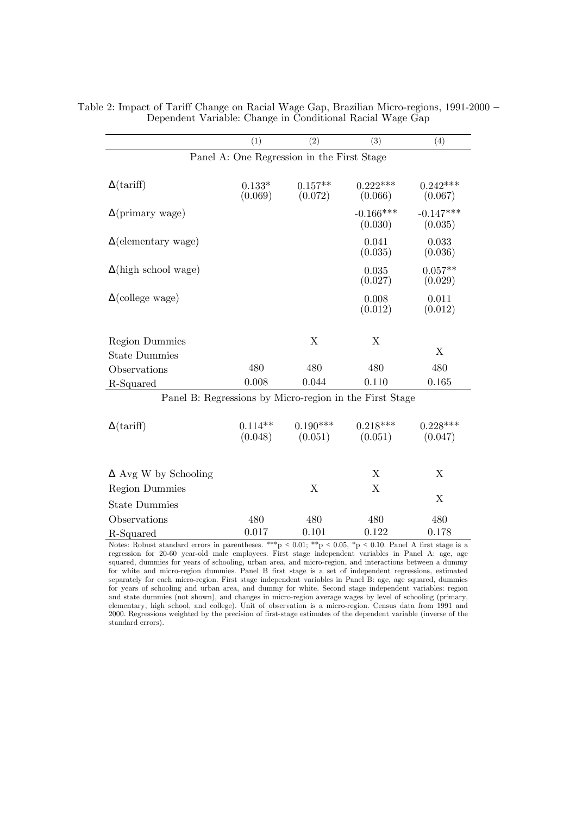|                                                         | (1)                  | (2)                                        | (3)                    | (4)                    |
|---------------------------------------------------------|----------------------|--------------------------------------------|------------------------|------------------------|
|                                                         |                      | Panel A: One Regression in the First Stage |                        |                        |
|                                                         |                      |                                            |                        |                        |
| $\Delta$ (tariff)                                       | $0.133*$             | $0.157**$                                  | $0.222***$             | $0.242***$             |
|                                                         | (0.069)              | (0.072)                                    | (0.066)                | (0.067)                |
| $\Delta$ (primary wage)                                 |                      |                                            | $-0.166***$<br>(0.030) | $-0.147***$<br>(0.035) |
| $\Delta$ (elementary wage)                              |                      |                                            | 0.041<br>(0.035)       | 0.033<br>(0.036)       |
| $\Delta$ (high school wage)                             |                      |                                            | 0.035<br>(0.027)       | $0.057**$<br>(0.029)   |
| $\Delta$ (college wage)                                 |                      |                                            | 0.008<br>(0.012)       | 0.011<br>(0.012)       |
|                                                         |                      |                                            |                        |                        |
| <b>Region Dummies</b>                                   |                      | $\mathbf X$                                | X                      |                        |
| <b>State Dummies</b>                                    |                      |                                            |                        | X                      |
| Observations                                            | 480                  | 480                                        | 480                    | 480                    |
| R-Squared                                               | 0.008                | 0.044                                      | 0.110                  | 0.165                  |
| Panel B: Regressions by Micro-region in the First Stage |                      |                                            |                        |                        |
| $\Delta$ (tariff)                                       | $0.114**$<br>(0.048) | $0.190***$<br>(0.051)                      | $0.218***$<br>(0.051)  | $0.228***$<br>(0.047)  |
|                                                         |                      |                                            |                        |                        |
| $\Delta$ Avg W by Schooling                             |                      |                                            | X                      | X                      |
| <b>Region Dummies</b>                                   |                      | X                                          | X                      |                        |
| <b>State Dummies</b>                                    |                      |                                            |                        | X                      |
| Observations                                            | 480                  | 480                                        | 480                    | 480                    |

| Table 2: Impact of Tariff Change on Racial Wage Gap, Brazilian Micro-regions, 1991-2000 – |                                                           |  |  |  |  |
|-------------------------------------------------------------------------------------------|-----------------------------------------------------------|--|--|--|--|
|                                                                                           | Dependent Variable: Change in Conditional Racial Wage Gap |  |  |  |  |

Notes: Robust standard errors in parentheses. \*\*\*p < 0.01; \*\*p < 0.05, \*p < 0.10. Panel A first stage is a regression for 20-60 year-old male employees. First stage independent variables in Panel A: age, age squared, dummies for years of schooling, urban area, and micro-region, and interactions between a dummy for white and micro-region dummies. Panel B first stage is a set of independent regressions, estimated separately for each micro-region. First stage independent variables in Panel B: age, age squared, dummies for years of schooling and urban area, and dummy for white. Second stage independent variables: region and state dummies (not shown), and changes in micro-region average wages by level of schooling (primary, elementary, high school, and college). Unit of observation is a micro-region. Census data from 1991 and 2000. Regressions weighted by the precision of first-stage estimates of the dependent variable (inverse of the standard errors).

R-Squared 0.017 0.101 0.122 0.178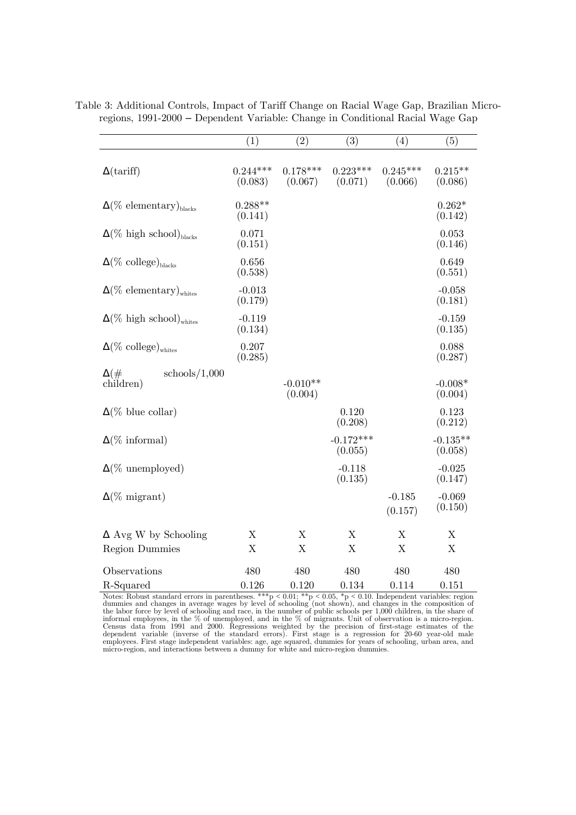|                                              | (1)                       | (2)                       | (3)                    | (4)                   | (5)                   |
|----------------------------------------------|---------------------------|---------------------------|------------------------|-----------------------|-----------------------|
| $\Delta$ (tariff)                            | $0.244***$<br>(0.083)     | $0.178***$<br>(0.067)     | $0.223***$<br>(0.071)  | $0.245***$<br>(0.066) | $0.215**$<br>(0.086)  |
| $\Delta(\%$ elementary) <sub>blacks</sub>    | $0.288**$<br>(0.141)      |                           |                        |                       | $0.262*$<br>(0.142)   |
| $\Delta(\%$ high school) <sub>blacks</sub>   | 0.071<br>(0.151)          |                           |                        |                       | 0.053<br>(0.146)      |
| $\Delta(\% \text{ college})_{blacks}$        | 0.656<br>(0.538)          |                           |                        |                       | 0.649<br>(0.551)      |
| $\Delta(\%$ elementary) <sub>whites</sub>    | $-0.013$<br>(0.179)       |                           |                        |                       | $-0.058$<br>(0.181)   |
| $\Delta(\%$ high school) <sub>whites</sub>   | $-0.119$<br>(0.134)       |                           |                        |                       | $-0.159$<br>(0.135)   |
| $\Delta(\% \text{ college})_{\text{whites}}$ | 0.207<br>(0.285)          |                           |                        |                       | 0.088<br>(0.287)      |
| schools/1,000<br>$\Delta(\#$<br>children)    |                           | $-0.010**$<br>(0.004)     |                        |                       | $-0.008*$<br>(0.004)  |
| $\Delta(\%$ blue collar)                     |                           |                           | 0.120<br>(0.208)       |                       | 0.123<br>(0.212)      |
| $\Delta(\% \text{ informal})$                |                           |                           | $-0.172***$<br>(0.055) |                       | $-0.135**$<br>(0.058) |
| $\Delta(\%$ unemployed)                      |                           |                           | $-0.118$<br>(0.135)    |                       | $-0.025$<br>(0.147)   |
| $\Delta(\% \text{ migrant})$                 |                           |                           |                        | $-0.185$<br>(0.157)   | $-0.069$<br>(0.150)   |
| $\Delta$ Avg W by Schooling                  | X                         | $\boldsymbol{\mathrm{X}}$ | X                      | X                     | X                     |
| <b>Region Dummies</b>                        | $\boldsymbol{\mathrm{X}}$ | $\mathbf X$               | $\mathbf X$            | X                     | X                     |
| Observations                                 | 480                       | 480                       | 480                    | 480                   | 480                   |
| R-Squared                                    | 0.126                     | 0.120                     | 0.134                  | 0.114                 | 0.151                 |

Table 3: Additional Controls, Impact of Tariff Change on Racial Wage Gap, Brazilian Microregions, 1991-2000 – Dependent Variable: Change in Conditional Racial Wage Gap

Notes: Robust standard errors in parentheses. \*\*\*p < 0.01; \*\*p < 0.05, \*p < 0.10. Independent variables: region dummies and changes in average wages by level of schooling (not shown), and changes in the composition of the Census data from 1991 and 2000. Regressions weighted by the precision of first-stage estimates of the dependent variable (inverse of the standard errors). First stage is a regression for 20-60 year-old male employees. Firs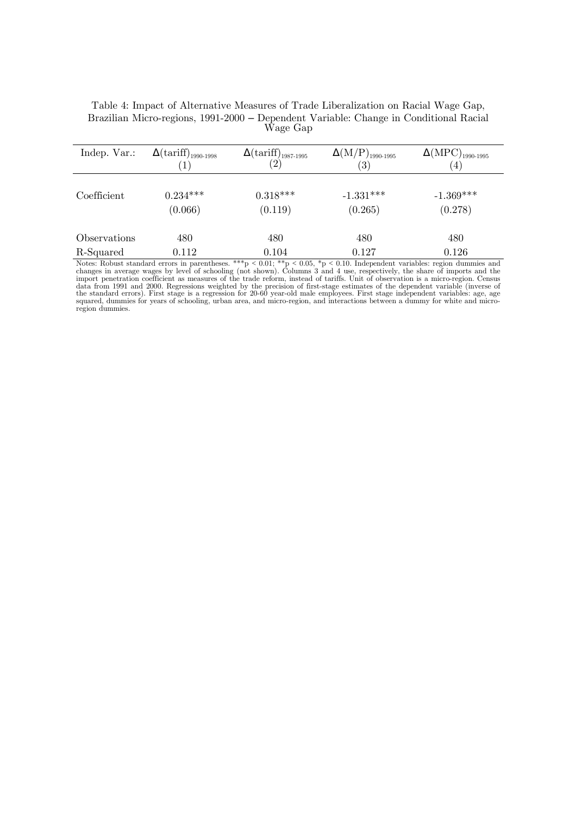| Table 4: Impact of Alternative Measures of Trade Liberalization on Racial Wage Gap,   |
|---------------------------------------------------------------------------------------|
| Brazilian Micro-regions, 1991-2000 – Dependent Variable: Change in Conditional Racial |
| Wage Gap                                                                              |

| Indep. Var.: | $\Delta \left( \mathrm{tariff} \right)_{1990-1998}$ | $\Delta \left( \frac{\text{tariff}}{(2)} \right)_{1987-1995}$ | $\Delta \rm (M/P)_{1990\text{-}1995}$ | $\Delta \rm{(MPC)}_{1990\text{-}1995}$ |
|--------------|-----------------------------------------------------|---------------------------------------------------------------|---------------------------------------|----------------------------------------|
|              | $\mathbf{1}$                                        |                                                               | $\left( 3\right)$                     | $\left( 4\right)$                      |
|              |                                                     |                                                               |                                       |                                        |
| Coefficient  | $0.234***$                                          | $0.318***$                                                    | $-1.331***$                           | $-1.369***$                            |
|              | (0.066)                                             | (0.119)                                                       | (0.265)                               | (0.278)                                |
|              |                                                     |                                                               |                                       |                                        |
| Observations | 480                                                 | 480                                                           | 480                                   | 480                                    |
| R-Squared    | 0.112                                               | 0.104<br>als als als<br>control study<br>---                  | 0.127                                 | 0.126<br>.                             |

Notes: Robust standard errors in parentheses. \*\*\*p < 0.01; \*\*p < 0.05, \*p < 0.10. Independent variables: region dummies and changes in average wages by level of schooling (not shown). Columns 3 and 4 use, respectively, th region dummies.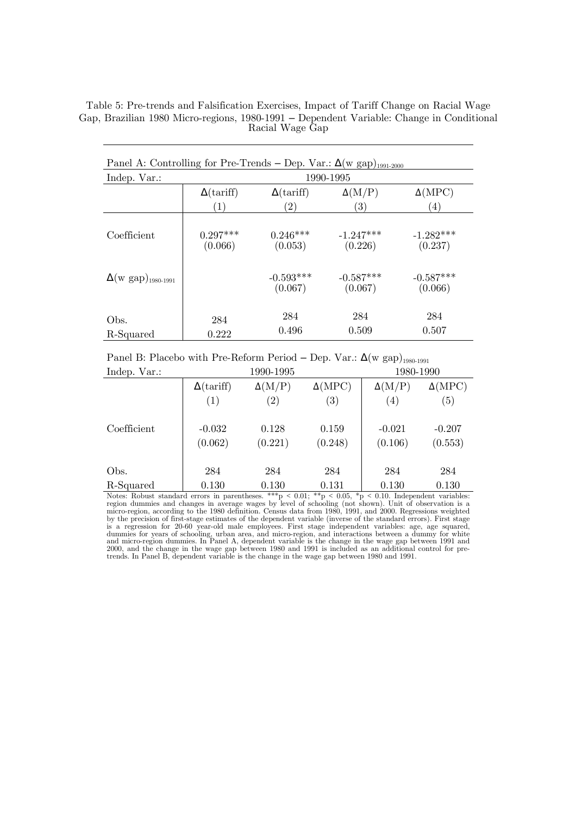Table 5: Pre-trends and Falsification Exercises, Impact of Tariff Change on Racial Wage Gap, Brazilian 1980 Micro-regions, 1980-1991 – Dependent Variable: Change in Conditional Racial Wage Gap

| Panel A: Controlling for Pre-Trends – Dep. Var.: $\Delta(w \text{ gap})_{1991-2000}$ |                       |                        |                        |                        |  |  |  |
|--------------------------------------------------------------------------------------|-----------------------|------------------------|------------------------|------------------------|--|--|--|
| Indep. Var.:                                                                         | 1990-1995             |                        |                        |                        |  |  |  |
|                                                                                      | $\Delta$ (tariff)     | $\Delta$ (tariff)      | $\Delta(M/P)$          | $\Delta(MPC)$          |  |  |  |
|                                                                                      | $\left(1\right)$      | $^{(2)}$               | $\left( 3\right)$      | $\left(4\right)$       |  |  |  |
| Coefficient                                                                          | $0.297***$<br>(0.066) | $0.246***$<br>(0.053)  | $-1.247***$<br>(0.226) | $-1.282***$<br>(0.237) |  |  |  |
| $\Delta(w \text{ gap})_{1980-1991}$                                                  |                       | $-0.593***$<br>(0.067) | $-0.587***$<br>(0.067) | $-0.587***$<br>(0.066) |  |  |  |
| Obs.<br>R-Squared                                                                    | 284<br>0.222          | 284<br>0.496           | 284<br>0.509           | 284<br>0.507           |  |  |  |

Panel B: Placebo with Pre-Reform Period – Dep. Var.:  $\Delta(w \text{ gap})_{1980-1991}$ 

| Indep. Var.: | 1990-1995         |                   |                   | 1980-1990         |                  |  |
|--------------|-------------------|-------------------|-------------------|-------------------|------------------|--|
|              | $\Delta$ (tariff) | $\Delta(M/P)$     | $\Delta(MPC)$     | $\Delta(M/P)$     | $\Delta(MPC)$    |  |
|              | (1)               | $\left( 2\right)$ | $\left( 3\right)$ | $\left( 4\right)$ | $\left(5\right)$ |  |
| Coefficient  | $-0.032$          | 0.128             | 0.159             | $-0.021$          | $-0.207$         |  |
|              | (0.062)           | (0.221)           | (0.248)           | (0.106)           | (0.553)          |  |
| Obs.         | 284               | 284               | 284               | 284               | 284              |  |
| R-Squared    | 0.130             | 0.130             | 0.131             | 0.130             | 0.130            |  |

Notes: Robust standard errors in parentheses. \*\*\*p < 0.01; \*\*p < 0.05, \*p < 0.10. Independent variables:<br>region dummies and changes in average wages by level of schooling (not shown). Unit of observation is a<br>micro-region is a regression for 20-60 year-old male employees. First stage independent variables: age, age squared, dummies for years of schooling, urban area, and micro-region, and interactions between a dummy for white<br>and micro-region dummies. In Panel A, dependent variable is the change in the wage gap between 1991 and<br>2000, and the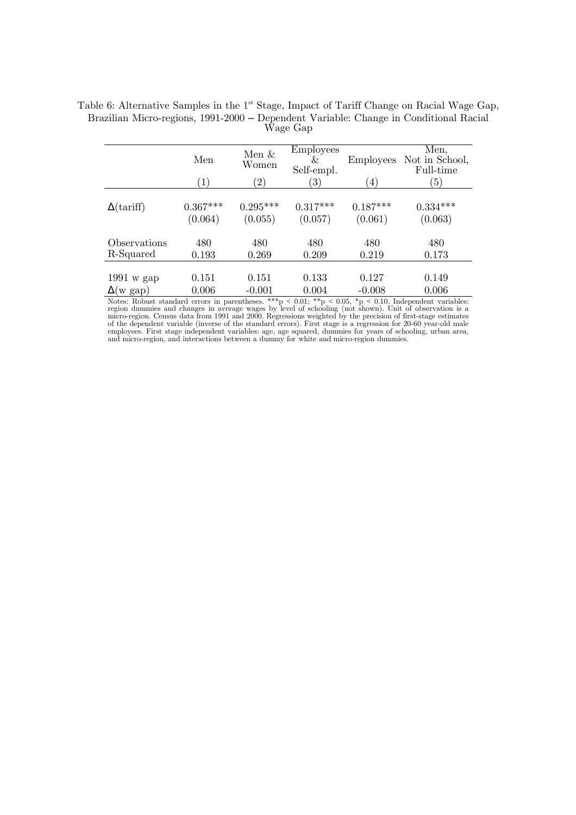|                   | Men<br>$\left(1\right)$ | Men $\&$<br>Women<br>$^{\prime}2)$ | <b>Employees</b><br>&<br>Self-empl.<br>$^{\rm (3)}$ | <b>Employees</b><br>$\left(4\right)$ | Men,<br>Not in School,<br>Full-time<br>$\left(5\right)$ |
|-------------------|-------------------------|------------------------------------|-----------------------------------------------------|--------------------------------------|---------------------------------------------------------|
| $\Delta$ (tariff) | $0.367***$              | $0.295***$                         | $0.317***$                                          | $0.187***$                           | $0.334***$                                              |
|                   | (0.064)                 | (0.055)                            | (0.057)                                             | (0.061)                              | (0.063)                                                 |
| Observations      | 480                     | 480                                | 480                                                 | 480                                  | 480                                                     |
| R-Squared         | 0.193                   | 0.269                              | 0.209                                               | 0.219                                | 0.173                                                   |
| $1991$ w gap      | 0.151                   | 0.151                              | 0.133                                               | 0.127                                | 0.149                                                   |
| $\Delta(w$ gap)   | 0.006                   | $-0.001$                           | 0.004                                               | $-0.008$                             | 0.006                                                   |

Table 6: Alternative Samples in the  $1<sup>st</sup>$  Stage, Impact of Tariff Change on Racial Wage Gap, Brazilian Micro-regions, 1991-2000 – Dependent Variable: Change in Conditional Racial Wage Gap

Notes: Robust standard errors in parentheses. \*\*\*p < 0.01; \*\*p < 0.05, \*p < 0.10. Independent variables:<br>region dummies and changes in average wages by level of schooling (not shown). Unit of observation is a<br>micro-region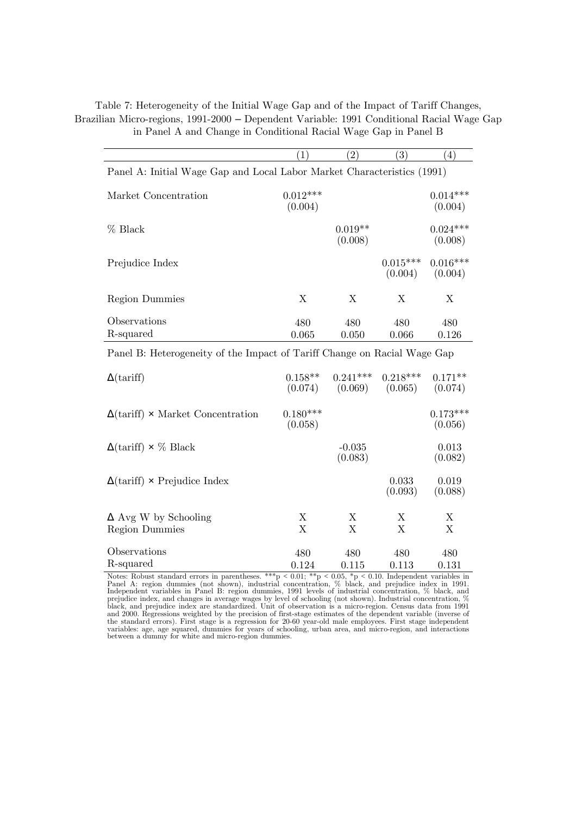|                                                                          | (1)                            | (2)                            | $\mathfrak{z})$       | $\left( 4\right)$              |
|--------------------------------------------------------------------------|--------------------------------|--------------------------------|-----------------------|--------------------------------|
| Panel A: Initial Wage Gap and Local Labor Market Characteristics (1991)  |                                |                                |                       |                                |
| Market Concentration                                                     | $0.012***$<br>(0.004)          |                                |                       | $0.014***$<br>(0.004)          |
| $%$ Black                                                                |                                | $0.019**$<br>(0.008)           |                       | $0.024***$<br>(0.008)          |
| Prejudice Index                                                          |                                |                                | $0.015***$<br>(0.004) | $0.016***$<br>(0.004)          |
| <b>Region Dummies</b>                                                    | X                              | X                              | X                     | X                              |
| Observations<br>R-squared                                                | 480<br>0.065                   | 480<br>0.050                   | 480<br>0.066          | 480<br>0.126                   |
| Panel B: Heterogeneity of the Impact of Tariff Change on Racial Wage Gap |                                |                                |                       |                                |
| $\Delta$ (tariff)                                                        | $0.158**$<br>(0.074)           | $0.241***$<br>(0.069)          | $0.218***$<br>(0.065) | $0.171**$<br>(0.074)           |
| $\Delta$ (tariff) x Market Concentration                                 | $0.180***$<br>(0.058)          |                                |                       | $0.173***$<br>(0.056)          |
| $\Delta$ (tariff) $\times$ % Black                                       |                                | $-0.035$<br>(0.083)            |                       | 0.013<br>(0.082)               |
| $\Delta$ (tariff) x Prejudice Index                                      |                                |                                | 0.033<br>(0.093)      | 0.019<br>(0.088)               |
| $\Delta$ Avg W by Schooling<br><b>Region Dummies</b>                     | Х<br>$\boldsymbol{\mathrm{X}}$ | X<br>$\boldsymbol{\mathrm{X}}$ | X<br>$\mathbf X$      | X<br>$\boldsymbol{\mathrm{X}}$ |
| Observations<br>R-squared                                                | 480<br>0.124                   | 480<br>0.115                   | 480<br>0.113          | 480<br>0.131                   |

Table 7: Heterogeneity of the Initial Wage Gap and of the Impact of Tariff Changes, Brazilian Micro-regions, 1991-2000 – Dependent Variable: 1991 Conditional Racial Wage Gap in Panel A and Change in Conditional Racial Wage Gap in Panel B

Notes: Robust standard errors in parentheses. \*\*\*p < 0.01; \*\*p < 0.05, \*p < 0.10. Independent variables in Panel A: region dummies (not shown), industrial concentration, % black, and prejudice index in 1991.<br>Independent v prejudice index, and changes in average wages by level of schooling (not shown). Industrial concentration, % black, and prejudice index are standardized. Unit of observation is a micro-region. Census data from 1991 and 2000. Regressions weighted by the precision of first-stage estimates of the dependent variable (inverse of the standard errors). First stage is a regression for 20-60 year-old male employees. First stage independent variables: age, age squared, dummies for years of schooling, urban area, and micro-region, and interactions between a dummy for white and micro-region dummies.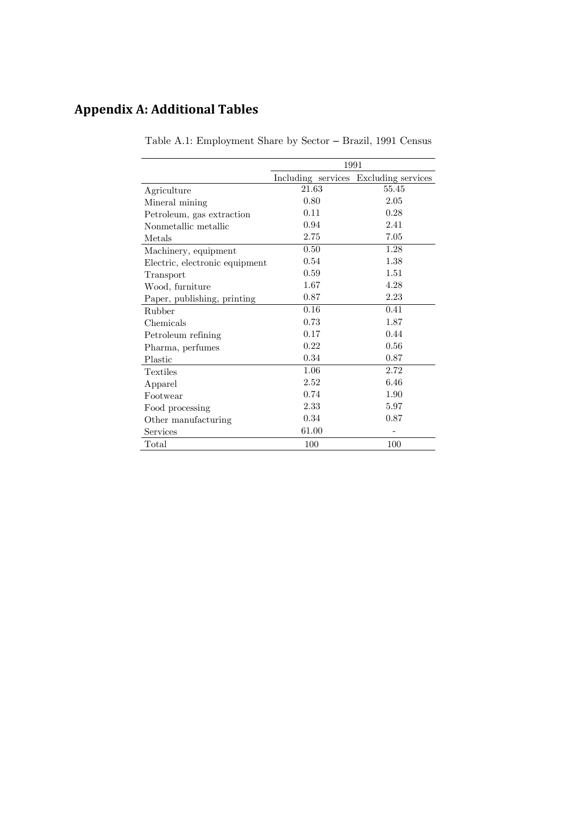# **Appendix A: Additional Tables**

|                                | 1991  |                                       |  |  |  |
|--------------------------------|-------|---------------------------------------|--|--|--|
|                                |       | Including services Excluding services |  |  |  |
| Agriculture                    | 21.63 | 55.45                                 |  |  |  |
| Mineral mining                 | 0.80  | 2.05                                  |  |  |  |
| Petroleum, gas extraction      | 0.11  | 0.28                                  |  |  |  |
| Nonmetallic metallic           | 0.94  | 2.41                                  |  |  |  |
| Metals                         | 2.75  | 7.05                                  |  |  |  |
| Machinery, equipment           | 0.50  | 1.28                                  |  |  |  |
| Electric, electronic equipment | 0.54  | 1.38                                  |  |  |  |
| Transport                      | 0.59  | 1.51                                  |  |  |  |
| Wood, furniture                | 1.67  | 4.28                                  |  |  |  |
| Paper, publishing, printing    | 0.87  | 2.23                                  |  |  |  |
| <b>Rubber</b>                  | 0.16  | 0.41                                  |  |  |  |
| Chemicals                      | 0.73  | 1.87                                  |  |  |  |
| Petroleum refining             | 0.17  | 0.44                                  |  |  |  |
| Pharma, perfumes               | 0.22  | 0.56                                  |  |  |  |
| Plastic                        | 0.34  | 0.87                                  |  |  |  |
| <b>Textiles</b>                | 1.06  | 2.72                                  |  |  |  |
| Apparel                        | 2.52  | 6.46                                  |  |  |  |
| Footwear                       | 0.74  | 1.90                                  |  |  |  |
| Food processing                | 2.33  | 5.97                                  |  |  |  |
| Other manufacturing            | 0.34  | 0.87                                  |  |  |  |
| Services                       | 61.00 |                                       |  |  |  |
| $\rm Total$                    | 100   | 100                                   |  |  |  |

Table A.1: Employment Share by Sector – Brazil, 1991 Census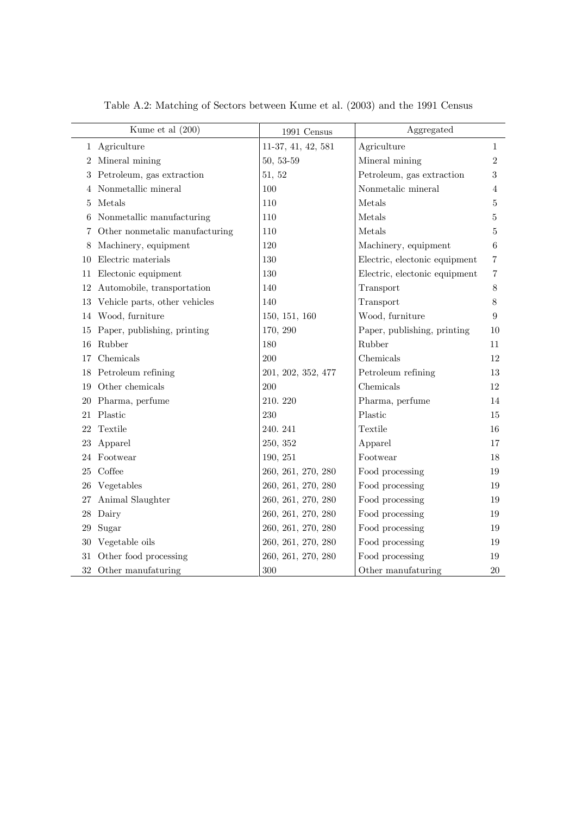|    | Kume et al (200)               | 1991 Census        | Aggregated                    |                |
|----|--------------------------------|--------------------|-------------------------------|----------------|
|    | 1 Agriculture                  | 11-37, 41, 42, 581 | Agriculture                   | 1              |
| 2  | Mineral mining                 | 50, 53-59          | Mineral mining                | $\overline{2}$ |
| 3. | Petroleum, gas extraction      | 51, 52             | Petroleum, gas extraction     | 3              |
| 4  | Nonmetallic mineral            | 100                | Nonmetalic mineral            | 4              |
| 5  | Metals                         | 110                | Metals                        | 5              |
| 6  | Nonmetallic manufacturing      | 110                | Metals                        | 5              |
| 7  | Other nonmetalic manufacturing | 110                | Metals                        | 5              |
| 8  | Machinery, equipment           | 120                | Machinery, equipment          | 6              |
| 10 | Electric materials             | 130                | Electric, electonic equipment | 7              |
| 11 | Electonic equipment            | 130                | Electric, electonic equipment | 7              |
| 12 | Automobile, transportation     | 140                | Transport                     | 8              |
| 13 | Vehicle parts, other vehicles  | 140                | Transport                     | 8              |
| 14 | Wood, furniture                | 150, 151, 160      | Wood, furniture               | 9              |
| 15 | Paper, publishing, printing    | 170, 290           | Paper, publishing, printing   | 10             |
| 16 | Rubber                         | 180                | Rubber                        | 11             |
| 17 | Chemicals                      | 200                | Chemicals                     | 12             |
| 18 | Petroleum refining             | 201, 202, 352, 477 | Petroleum refining            | 13             |
| 19 | Other chemicals                | 200                | Chemicals                     | 12             |
| 20 | Pharma, perfume                | 210.220            | Pharma, perfume               | 14             |
| 21 | Plastic                        | 230                | Plastic                       | 15             |
| 22 | Textile                        | 240.241            | Textile                       | 16             |
| 23 | Apparel                        | 250, 352           | Apparel                       | 17             |
| 24 | Footwear                       | 190, 251           | Footwear                      | 18             |
| 25 | Coffee                         | 260, 261, 270, 280 | Food processing               | 19             |
| 26 | Vegetables                     | 260, 261, 270, 280 | Food processing               | 19             |
| 27 | Animal Slaughter               | 260, 261, 270, 280 | Food processing               | 19             |
| 28 | Dairy                          | 260, 261, 270, 280 | Food processing               | 19             |
| 29 | Sugar                          | 260, 261, 270, 280 | Food processing               | 19             |
| 30 | Vegetable oils                 | 260, 261, 270, 280 | Food processing               | 19             |
| 31 | Other food processing          | 260, 261, 270, 280 | Food processing               | 19             |
|    | 32 Other manufaturing          | 300                | Other manufaturing            | 20             |

Table A.2: Matching of Sectors between Kume et al. (2003) and the 1991 Census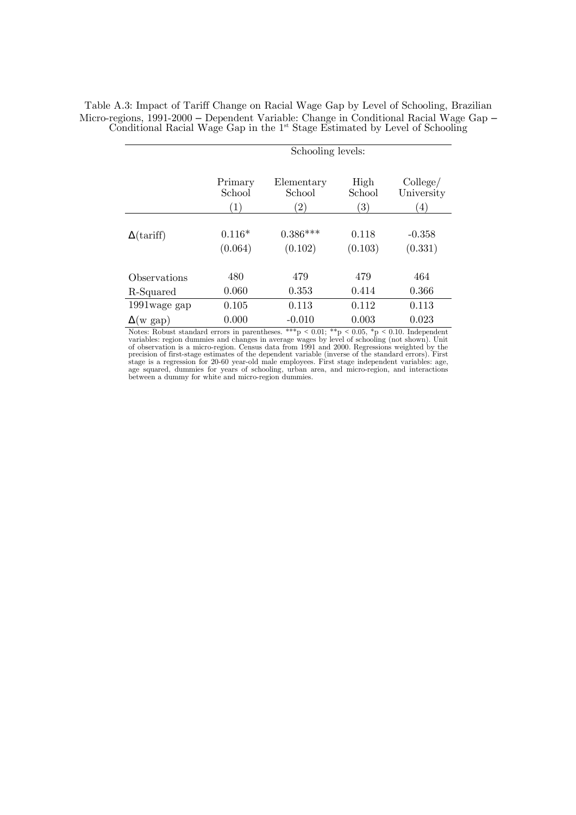|                   | Schooling levels: |                  |                   |                  |
|-------------------|-------------------|------------------|-------------------|------------------|
|                   | Primary           | Elementary       | High              | $\text{College}$ |
|                   | School            | School           | School            | University       |
|                   | (1)               | $\left(2\right)$ | $\left( 3\right)$ | 4)               |
| $\Delta$ (tariff) | $0.116*$          | $0.386***$       | 0.118             | $-0.358$         |
|                   | (0.064)           | (0.102)          | (0.103)           | (0.331)          |
| Observations      | 480               | 479              | 479               | 464              |
| R-Squared         | 0.060             | 0.353            | 0.414             | 0.366            |
| 1991 wage gap     | 0.105             | 0.113            | 0.112             | 0.113            |
| $\Delta(w$ gap)   | 0.000             | $-0.010$         | 0.003             | 0.023            |

Table A.3: Impact of Tariff Change on Racial Wage Gap by Level of Schooling, Brazilian Micro-regions, 1991-2000 – Dependent Variable: Change in Conditional Racial Wage Gap – Conditional Racial Wage Gap in the 1<sup>st</sup> Stage Estimated by Level of Schooling

> Notes: Robust standard errors in parentheses. \*\*\*  $p < 0.01$ ; \*\*  $p < 0.05$ , \*  $p < 0.10$ . Independent variables: region dummies and changes in average wages by level of schooling (not shown). Unit<br>of observation is a micro-region. Census data from 1991 and 2000. Regressions weighted by the<br>precision of first-stage estimat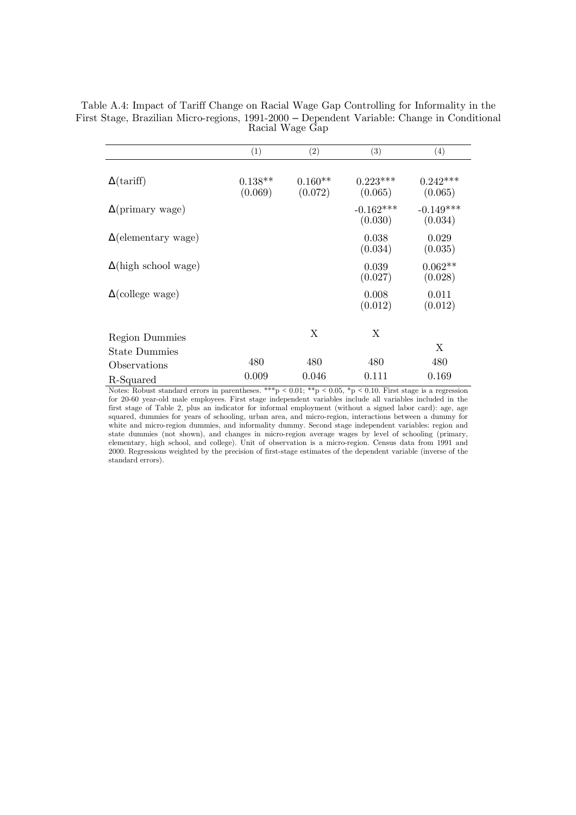Table A.4: Impact of Tariff Change on Racial Wage Gap Controlling for Informality in the First Stage, Brazilian Micro-regions, 1991-2000 – Dependent Variable: Change in Conditional Racial Wage Gap

|                             | (1)                  | (2)                  | $\left( 3\right)$      | (4)                    |
|-----------------------------|----------------------|----------------------|------------------------|------------------------|
| $\Delta$ (tariff)           | $0.138**$<br>(0.069) | $0.160**$<br>(0.072) | $0.223***$<br>(0.065)  | $0.242***$<br>(0.065)  |
| $\Delta$ (primary wage)     |                      |                      | $-0.162***$<br>(0.030) | $-0.149***$<br>(0.034) |
| $\Delta$ (elementary wage)  |                      |                      | 0.038<br>(0.034)       | 0.029<br>(0.035)       |
| $\Delta$ (high school wage) |                      |                      | 0.039<br>(0.027)       | $0.062**$<br>(0.028)   |
| $\Delta$ (college wage)     |                      |                      | 0.008<br>(0.012)       | 0.011<br>(0.012)       |
| <b>Region Dummies</b>       |                      | Χ                    | X                      |                        |
| <b>State Dummies</b>        |                      |                      |                        | X                      |
| Observations                | 480                  | 480                  | 480                    | 480                    |
| R-Squared                   | 0.009                | 0.046                | 0.111                  | 0.169                  |

Notes: Robust standard errors in parentheses. \*\*\*p < 0.01; \*\*p < 0.05, \*p < 0.10. First stage is a regression for 20-60 year-old male employees. First stage independent variables include all variables included in the first stage of Table 2, plus an indicator for informal employment (without a signed labor card): age, age squared, dummies for years of schooling, urban area, and micro-region, interactions between a dummy for white and micro-region dummies, and informality dummy. Second stage independent variables: region and state dummies (not shown), and changes in micro-region average wages by level of schooling (primary, elementary, high school, and college). Unit of observation is a micro-region. Census data from 1991 and 2000. Regressions weighted by the precision of first-stage estimates of the dependent variable (inverse of the standard errors).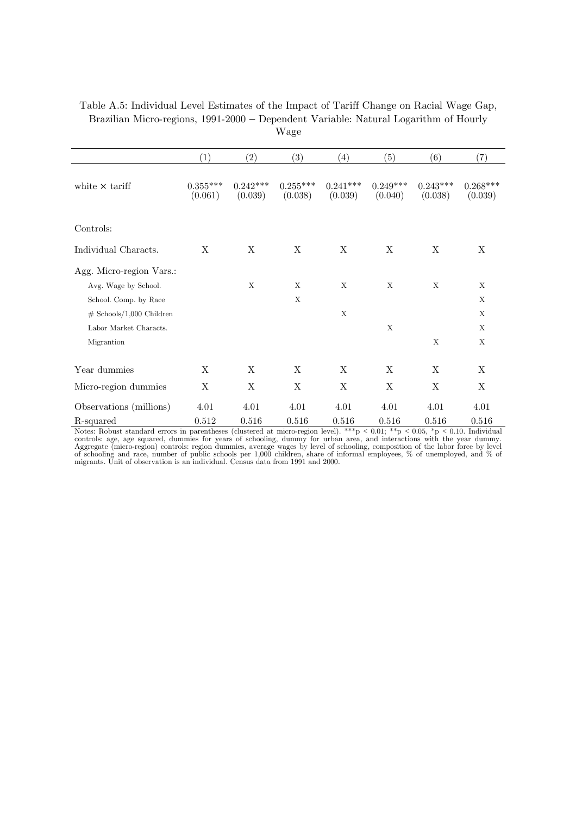| Table A.5: Individual Level Estimates of the Impact of Tariff Change on Racial Wage Gap, |
|------------------------------------------------------------------------------------------|
| Brazilian Micro-regions, 1991-2000 – Dependent Variable: Natural Logarithm of Hourly     |
| Wage                                                                                     |

|                                               | (1)                   | (2)                   | (3)                   | (4)                   | (5)                   | (6)                   | (7)                   |
|-----------------------------------------------|-----------------------|-----------------------|-----------------------|-----------------------|-----------------------|-----------------------|-----------------------|
| white $\times$ tariff                         | $0.355***$<br>(0.061) | $0.242***$<br>(0.039) | $0.255***$<br>(0.038) | $0.241***$<br>(0.039) | $0.249***$<br>(0.040) | $0.243***$<br>(0.038) | $0.268***$<br>(0.039) |
| Controls:                                     |                       |                       |                       |                       |                       |                       |                       |
| Individual Characts.                          | X                     | X                     | X                     | X                     | X                     | X                     | X                     |
| Agg. Micro-region Vars.:                      |                       | X                     | X                     | X                     | X                     | X                     | X                     |
| Avg. Wage by School.<br>School. Comp. by Race |                       |                       | X                     |                       |                       |                       | X                     |
| $#$ Schools/1,000 Children                    |                       |                       |                       | X                     |                       |                       | X                     |
| Labor Market Characts.                        |                       |                       |                       |                       | X                     |                       | X                     |
| Migrantion                                    |                       |                       |                       |                       |                       | X                     | X                     |
| Year dummies                                  | X                     | X                     | X                     | X                     | X                     | X                     | X                     |
| Micro-region dummies                          | X                     | X                     | X                     | X                     | X                     | X                     | X                     |
| Observations (millions)                       | 4.01                  | 4.01                  | 4.01                  | 4.01                  | 4.01                  | 4.01                  | 4.01                  |
| R-squared                                     | 0.512                 | 0.516                 | 0.516                 | 0.516                 | 0.516                 | 0.516                 | 0.516                 |

Notes: Robust standard errors in parentheses (clustered at micro-region level). \*\*\*p < 0.01; \*\*p < 0.05, \*p < 0.10. Individual controls: age, age squared, dummies for years of schooling, dummy for urban area, and interact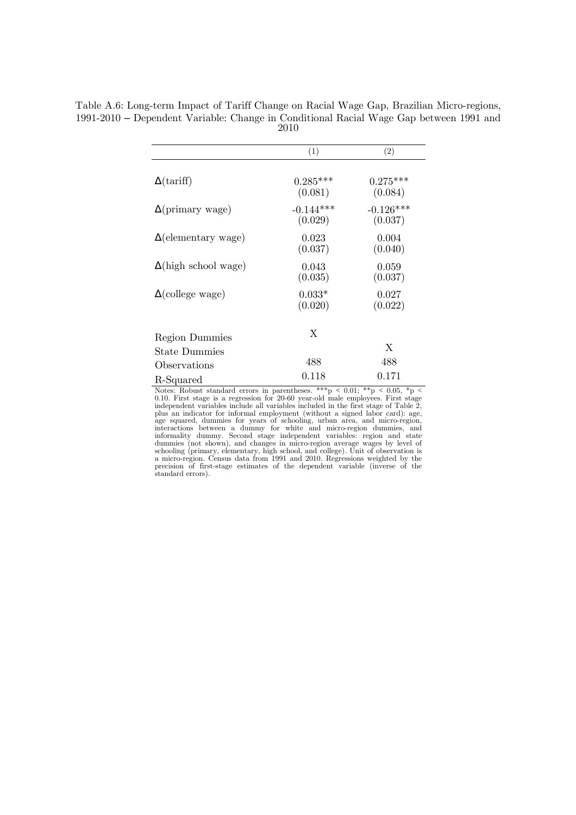|                             | (1)                    | (2)                    |
|-----------------------------|------------------------|------------------------|
| $\Delta$ (tariff)           | $0.285***$<br>(0.081)  | $0.275***$<br>(0.084)  |
| $\Delta$ (primary wage)     | $-0.144***$<br>(0.029) | $-0.126***$<br>(0.037) |
| $\Delta$ (elementary wage)  | 0.023<br>(0.037)       | 0.004<br>(0.040)       |
| $\Delta$ (high school wage) | 0.043<br>(0.035)       | 0.059<br>(0.037)       |
| $\Delta$ (college wage)     | $0.033*$<br>(0.020)    | 0.027<br>(0.022)       |
| <b>Region Dummies</b>       | X                      |                        |
| <b>State Dummies</b>        |                        | X                      |
| Observations                | 488                    | 488                    |
| R-Squared                   | 0.118                  | 0.171                  |

Table A.6: Long-term Impact of Tariff Change on Racial Wage Gap, Brazilian Micro-regions, 1991-2010 – Dependent Variable: Change in Conditional Racial Wage Gap between 1991 and 2010

Notes: Robust standard errors in parentheses. \*\*\*p < 0.01; \*\*p < 0.05, \*p < 0.10. First stage is a regression for 20-60 year-old male employees. First stage independent variables include all variables included in the first stage of Table 2, plus an indicator for informal employment (without a signed labor card): age, age squared, dummies for years of schooling, urban area, and micro-region, informality dummies, and summy for white and micro-region dummies, an schooling (primary, elementary, high school, and college). Unit of observation is<br>a micro-region. Census data from 1991 and 2010. Regressions weighted by the<br>precision of first-stage estimates of the dependent variable (in standard errors).